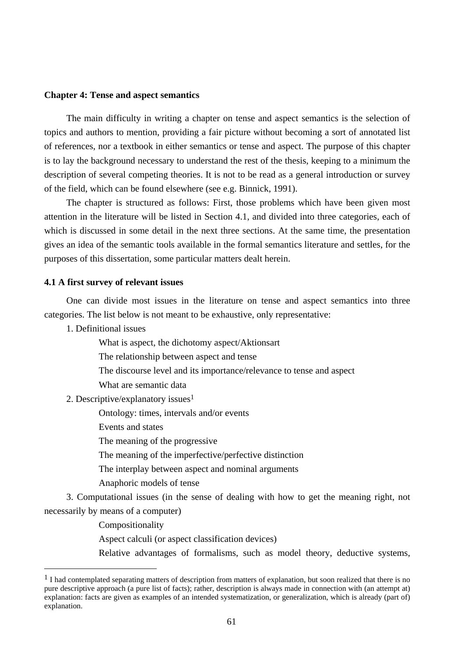#### **Chapter 4: Tense and aspect semantics**

The main difficulty in writing a chapter on tense and aspect semantics is the selection of topics and authors to mention, providing a fair picture without becoming a sort of annotated list of references, nor a textbook in either semantics or tense and aspect. The purpose of this chapter is to lay the background necessary to understand the rest of the thesis, keeping to a minimum the description of several competing theories. It is not to be read as a general introduction or survey of the field, which can be found elsewhere (see e.g. Binnick, 1991).

The chapter is structured as follows: First, those problems which have been given most attention in the literature will be listed in Section 4.1, and divided into three categories, each of which is discussed in some detail in the next three sections. At the same time, the presentation gives an idea of the semantic tools available in the formal semantics literature and settles, for the purposes of this dissertation, some particular matters dealt herein.

#### **4.1 A first survey of relevant issues**

One can divide most issues in the literature on tense and aspect semantics into three categories. The list below is not meant to be exhaustive, only representative:

1. Definitional issues

What is aspect, the dichotomy aspect/Aktionsart

The relationship between aspect and tense

- The discourse level and its importance/relevance to tense and aspect
- What are semantic data

2. Descriptive/explanatory issues1

Ontology: times, intervals and/or events

Events and states

The meaning of the progressive

The meaning of the imperfective/perfective distinction

The interplay between aspect and nominal arguments

Anaphoric models of tense

3. Computational issues (in the sense of dealing with how to get the meaning right, not necessarily by means of a computer)

Compositionality

 $\overline{a}$ 

Aspect calculi (or aspect classification devices)

Relative advantages of formalisms, such as model theory, deductive systems,

<sup>&</sup>lt;sup>1</sup> I had contemplated separating matters of description from matters of explanation, but soon realized that there is no pure descriptive approach (a pure list of facts); rather, description is always made in connection with (an attempt at) explanation: facts are given as examples of an intended systematization, or generalization, which is already (part of) explanation.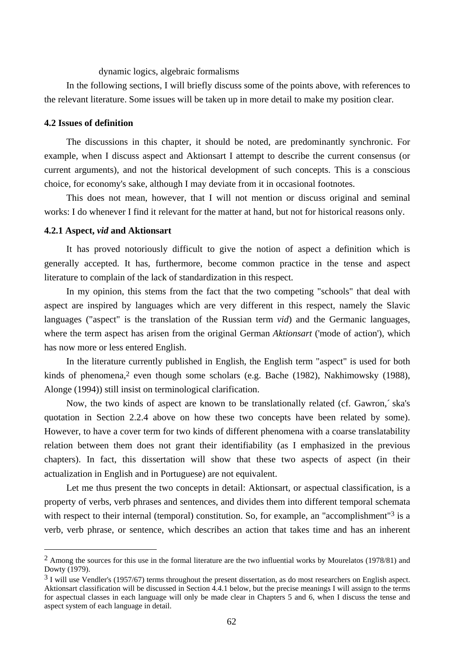## dynamic logics, algebraic formalisms

In the following sections, I will briefly discuss some of the points above, with references to the relevant literature. Some issues will be taken up in more detail to make my position clear.

#### **4.2 Issues of definition**

The discussions in this chapter, it should be noted, are predominantly synchronic. For example, when I discuss aspect and Aktionsart I attempt to describe the current consensus (or current arguments), and not the historical development of such concepts. This is a conscious choice, for economy's sake, although I may deviate from it in occasional footnotes.

This does not mean, however, that I will not mention or discuss original and seminal works: I do whenever I find it relevant for the matter at hand, but not for historical reasons only.

#### **4.2.1 Aspect,** *vid* **and Aktionsart**

 $\overline{a}$ 

It has proved notoriously difficult to give the notion of aspect a definition which is generally accepted. It has, furthermore, become common practice in the tense and aspect literature to complain of the lack of standardization in this respect.

In my opinion, this stems from the fact that the two competing "schools" that deal with aspect are inspired by languages which are very different in this respect, namely the Slavic languages ("aspect" is the translation of the Russian term *vid*) and the Germanic languages, where the term aspect has arisen from the original German *Aktionsart* ('mode of action'), which has now more or less entered English.

In the literature currently published in English, the English term "aspect" is used for both kinds of phenomena,<sup>2</sup> even though some scholars (e.g. Bache (1982), Nakhimowsky (1988), Alonge (1994)) still insist on terminological clarification.

Now, the two kinds of aspect are known to be translationally related (cf. Gawron,´ ska's quotation in Section 2.2.4 above on how these two concepts have been related by some). However, to have a cover term for two kinds of different phenomena with a coarse translatability relation between them does not grant their identifiability (as I emphasized in the previous chapters). In fact, this dissertation will show that these two aspects of aspect (in their actualization in English and in Portuguese) are not equivalent.

Let me thus present the two concepts in detail: Aktionsart, or aspectual classification, is a property of verbs, verb phrases and sentences, and divides them into different temporal schemata with respect to their internal (temporal) constitution. So, for example, an "accomplishment"<sup>3</sup> is a verb, verb phrase, or sentence, which describes an action that takes time and has an inherent

<sup>&</sup>lt;sup>2</sup> Among the sources for this use in the formal literature are the two influential works by Mourelatos (1978/81) and Dowty (1979).

<sup>&</sup>lt;sup>3</sup> I will use Vendler's (1957/67) terms throughout the present dissertation, as do most researchers on English aspect. Aktionsart classification will be discussed in Section 4.4.1 below, but the precise meanings I will assign to the terms for aspectual classes in each language will only be made clear in Chapters 5 and 6, when I discuss the tense and aspect system of each language in detail.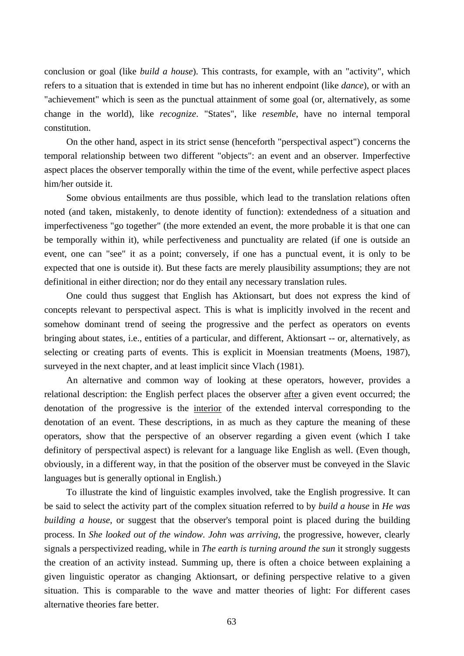conclusion or goal (like *build a house*). This contrasts, for example, with an "activity", which refers to a situation that is extended in time but has no inherent endpoint (like *dance*), or with an "achievement" which is seen as the punctual attainment of some goal (or, alternatively, as some change in the world), like *recognize*. "States", like *resemble*, have no internal temporal constitution.

On the other hand, aspect in its strict sense (henceforth "perspectival aspect") concerns the temporal relationship between two different "objects": an event and an observer. Imperfective aspect places the observer temporally within the time of the event, while perfective aspect places him/her outside it.

Some obvious entailments are thus possible, which lead to the translation relations often noted (and taken, mistakenly, to denote identity of function): extendedness of a situation and imperfectiveness "go together" (the more extended an event, the more probable it is that one can be temporally within it), while perfectiveness and punctuality are related (if one is outside an event, one can "see" it as a point; conversely, if one has a punctual event, it is only to be expected that one is outside it). But these facts are merely plausibility assumptions; they are not definitional in either direction; nor do they entail any necessary translation rules.

One could thus suggest that English has Aktionsart, but does not express the kind of concepts relevant to perspectival aspect. This is what is implicitly involved in the recent and somehow dominant trend of seeing the progressive and the perfect as operators on events bringing about states, i.e., entities of a particular, and different, Aktionsart -- or, alternatively, as selecting or creating parts of events. This is explicit in Moensian treatments (Moens, 1987), surveyed in the next chapter, and at least implicit since Vlach (1981).

An alternative and common way of looking at these operators, however, provides a relational description: the English perfect places the observer after a given event occurred; the denotation of the progressive is the interior of the extended interval corresponding to the denotation of an event. These descriptions, in as much as they capture the meaning of these operators, show that the perspective of an observer regarding a given event (which I take definitory of perspectival aspect) is relevant for a language like English as well. (Even though, obviously, in a different way, in that the position of the observer must be conveyed in the Slavic languages but is generally optional in English.)

To illustrate the kind of linguistic examples involved, take the English progressive. It can be said to select the activity part of the complex situation referred to by *build a house* in *He was building a house*, or suggest that the observer's temporal point is placed during the building process. In *She looked out of the window. John was arriving*, the progressive, however, clearly signals a perspectivized reading, while in *The earth is turning around the sun* it strongly suggests the creation of an activity instead. Summing up, there is often a choice between explaining a given linguistic operator as changing Aktionsart, or defining perspective relative to a given situation. This is comparable to the wave and matter theories of light: For different cases alternative theories fare better.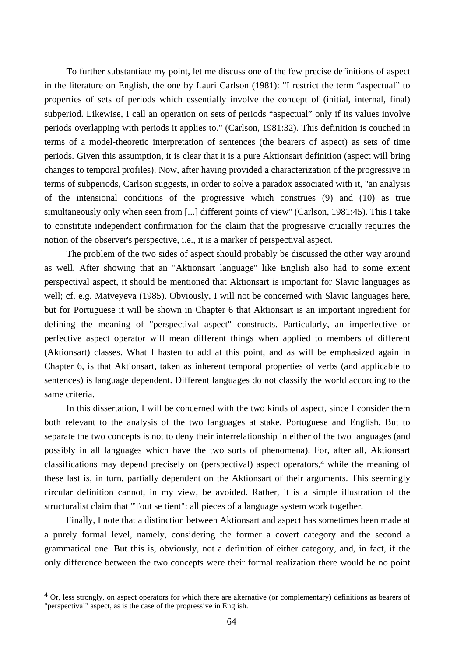To further substantiate my point, let me discuss one of the few precise definitions of aspect in the literature on English, the one by Lauri Carlson (1981): "I restrict the term "aspectual" to properties of sets of periods which essentially involve the concept of (initial, internal, final) subperiod. Likewise, I call an operation on sets of periods "aspectual" only if its values involve periods overlapping with periods it applies to." (Carlson, 1981:32). This definition is couched in terms of a model-theoretic interpretation of sentences (the bearers of aspect) as sets of time periods. Given this assumption, it is clear that it is a pure Aktionsart definition (aspect will bring changes to temporal profiles). Now, after having provided a characterization of the progressive in terms of subperiods, Carlson suggests, in order to solve a paradox associated with it, "an analysis of the intensional conditions of the progressive which construes (9) and (10) as true simultaneously only when seen from [...] different points of view" (Carlson, 1981:45). This I take to constitute independent confirmation for the claim that the progressive crucially requires the notion of the observer's perspective, i.e., it is a marker of perspectival aspect.

The problem of the two sides of aspect should probably be discussed the other way around as well. After showing that an "Aktionsart language" like English also had to some extent perspectival aspect, it should be mentioned that Aktionsart is important for Slavic languages as well; cf. e.g. Matveyeva (1985). Obviously, I will not be concerned with Slavic languages here, but for Portuguese it will be shown in Chapter 6 that Aktionsart is an important ingredient for defining the meaning of "perspectival aspect" constructs. Particularly, an imperfective or perfective aspect operator will mean different things when applied to members of different (Aktionsart) classes. What I hasten to add at this point, and as will be emphasized again in Chapter 6, is that Aktionsart, taken as inherent temporal properties of verbs (and applicable to sentences) is language dependent. Different languages do not classify the world according to the same criteria.

In this dissertation, I will be concerned with the two kinds of aspect, since I consider them both relevant to the analysis of the two languages at stake, Portuguese and English. But to separate the two concepts is not to deny their interrelationship in either of the two languages (and possibly in all languages which have the two sorts of phenomena). For, after all, Aktionsart classifications may depend precisely on (perspectival) aspect operators,4 while the meaning of these last is, in turn, partially dependent on the Aktionsart of their arguments. This seemingly circular definition cannot, in my view, be avoided. Rather, it is a simple illustration of the structuralist claim that "Tout se tient": all pieces of a language system work together.

Finally, I note that a distinction between Aktionsart and aspect has sometimes been made at a purely formal level, namely, considering the former a covert category and the second a grammatical one. But this is, obviously, not a definition of either category, and, in fact, if the only difference between the two concepts were their formal realization there would be no point

<sup>4</sup> Or, less strongly, on aspect operators for which there are alternative (or complementary) definitions as bearers of "perspectival" aspect, as is the case of the progressive in English.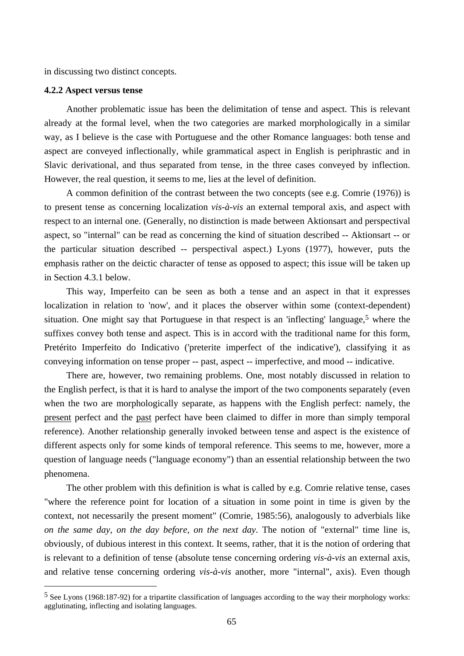in discussing two distinct concepts.

## **4.2.2 Aspect versus tense**

 $\overline{a}$ 

Another problematic issue has been the delimitation of tense and aspect. This is relevant already at the formal level, when the two categories are marked morphologically in a similar way, as I believe is the case with Portuguese and the other Romance languages: both tense and aspect are conveyed inflectionally, while grammatical aspect in English is periphrastic and in Slavic derivational, and thus separated from tense, in the three cases conveyed by inflection. However, the real question, it seems to me, lies at the level of definition.

A common definition of the contrast between the two concepts (see e.g. Comrie (1976)) is to present tense as concerning localization *vis-à-vis* an external temporal axis, and aspect with respect to an internal one. (Generally, no distinction is made between Aktionsart and perspectival aspect, so "internal" can be read as concerning the kind of situation described -- Aktionsart -- or the particular situation described -- perspectival aspect.) Lyons (1977), however, puts the emphasis rather on the deictic character of tense as opposed to aspect; this issue will be taken up in Section 4.3.1 below.

This way, Imperfeito can be seen as both a tense and an aspect in that it expresses localization in relation to 'now', and it places the observer within some (context-dependent) situation. One might say that Portuguese in that respect is an 'inflecting' language,<sup>5</sup> where the suffixes convey both tense and aspect. This is in accord with the traditional name for this form, Pretérito Imperfeito do Indicativo ('preterite imperfect of the indicative'), classifying it as conveying information on tense proper -- past, aspect -- imperfective, and mood -- indicative.

There are, however, two remaining problems. One, most notably discussed in relation to the English perfect, is that it is hard to analyse the import of the two components separately (even when the two are morphologically separate, as happens with the English perfect: namely, the present perfect and the past perfect have been claimed to differ in more than simply temporal reference). Another relationship generally invoked between tense and aspect is the existence of different aspects only for some kinds of temporal reference. This seems to me, however, more a question of language needs ("language economy") than an essential relationship between the two phenomena.

The other problem with this definition is what is called by e.g. Comrie relative tense, cases "where the reference point for location of a situation in some point in time is given by the context, not necessarily the present moment" (Comrie, 1985:56), analogously to adverbials like *on the same day*, *on the day before*, *on the next day*. The notion of "external" time line is, obviously, of dubious interest in this context. It seems, rather, that it is the notion of ordering that is relevant to a definition of tense (absolute tense concerning ordering *vis-à-vis* an external axis, and relative tense concerning ordering *vis-à-vis* another, more "internal", axis). Even though

<sup>5</sup> See Lyons (1968:187-92) for a tripartite classification of languages according to the way their morphology works: agglutinating, inflecting and isolating languages.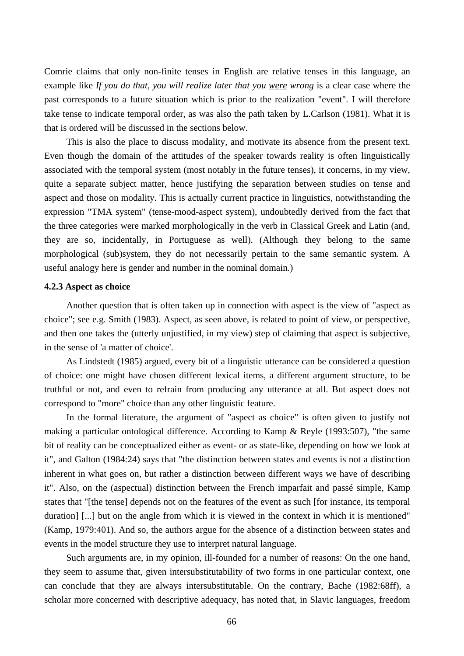Comrie claims that only non-finite tenses in English are relative tenses in this language, an example like *If you do that, you will realize later that you were wrong* is a clear case where the past corresponds to a future situation which is prior to the realization "event". I will therefore take tense to indicate temporal order, as was also the path taken by L.Carlson (1981). What it is that is ordered will be discussed in the sections below.

This is also the place to discuss modality, and motivate its absence from the present text. Even though the domain of the attitudes of the speaker towards reality is often linguistically associated with the temporal system (most notably in the future tenses), it concerns, in my view, quite a separate subject matter, hence justifying the separation between studies on tense and aspect and those on modality. This is actually current practice in linguistics, notwithstanding the expression "TMA system" (tense-mood-aspect system), undoubtedly derived from the fact that the three categories were marked morphologically in the verb in Classical Greek and Latin (and, they are so, incidentally, in Portuguese as well). (Although they belong to the same morphological (sub)system, they do not necessarily pertain to the same semantic system. A useful analogy here is gender and number in the nominal domain.)

# **4.2.3 Aspect as choice**

Another question that is often taken up in connection with aspect is the view of "aspect as choice"; see e.g. Smith (1983). Aspect, as seen above, is related to point of view, or perspective, and then one takes the (utterly unjustified, in my view) step of claiming that aspect is subjective, in the sense of 'a matter of choice'.

As Lindstedt (1985) argued, every bit of a linguistic utterance can be considered a question of choice: one might have chosen different lexical items, a different argument structure, to be truthful or not, and even to refrain from producing any utterance at all. But aspect does not correspond to "more" choice than any other linguistic feature.

In the formal literature, the argument of "aspect as choice" is often given to justify not making a particular ontological difference. According to Kamp & Reyle (1993:507), "the same bit of reality can be conceptualized either as event- or as state-like, depending on how we look at it", and Galton (1984:24) says that "the distinction between states and events is not a distinction inherent in what goes on, but rather a distinction between different ways we have of describing it". Also, on the (aspectual) distinction between the French imparfait and passé simple, Kamp states that "[the tense] depends not on the features of the event as such [for instance, its temporal duration] [...] but on the angle from which it is viewed in the context in which it is mentioned" (Kamp, 1979:401). And so, the authors argue for the absence of a distinction between states and events in the model structure they use to interpret natural language.

Such arguments are, in my opinion, ill-founded for a number of reasons: On the one hand, they seem to assume that, given intersubstitutability of two forms in one particular context, one can conclude that they are always intersubstitutable. On the contrary, Bache (1982:68ff), a scholar more concerned with descriptive adequacy, has noted that, in Slavic languages, freedom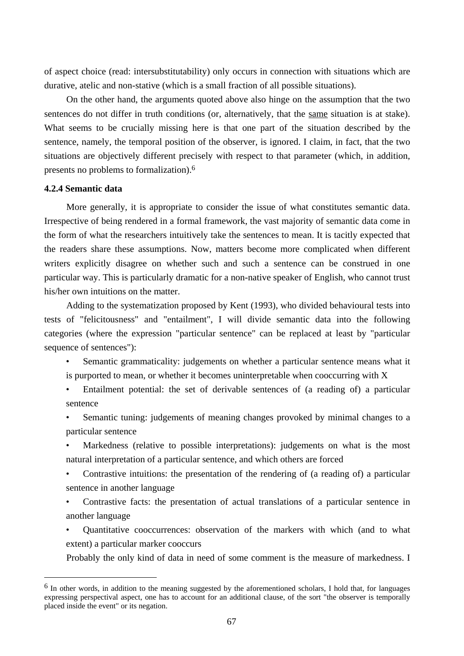of aspect choice (read: intersubstitutability) only occurs in connection with situations which are durative, atelic and non-stative (which is a small fraction of all possible situations).

On the other hand, the arguments quoted above also hinge on the assumption that the two sentences do not differ in truth conditions (or, alternatively, that the same situation is at stake). What seems to be crucially missing here is that one part of the situation described by the sentence, namely, the temporal position of the observer, is ignored. I claim, in fact, that the two situations are objectively different precisely with respect to that parameter (which, in addition, presents no problems to formalization).6

## **4.2.4 Semantic data**

 $\overline{a}$ 

More generally, it is appropriate to consider the issue of what constitutes semantic data. Irrespective of being rendered in a formal framework, the vast majority of semantic data come in the form of what the researchers intuitively take the sentences to mean. It is tacitly expected that the readers share these assumptions. Now, matters become more complicated when different writers explicitly disagree on whether such and such a sentence can be construed in one particular way. This is particularly dramatic for a non-native speaker of English, who cannot trust his/her own intuitions on the matter.

Adding to the systematization proposed by Kent (1993), who divided behavioural tests into tests of "felicitousness" and "entailment", I will divide semantic data into the following categories (where the expression "particular sentence" can be replaced at least by "particular sequence of sentences"):

- Semantic grammaticality: judgements on whether a particular sentence means what it is purported to mean, or whether it becomes uninterpretable when cooccurring with X
- Entailment potential: the set of derivable sentences of (a reading of) a particular sentence
- Semantic tuning: judgements of meaning changes provoked by minimal changes to a particular sentence
- Markedness (relative to possible interpretations): judgements on what is the most natural interpretation of a particular sentence, and which others are forced
- Contrastive intuitions: the presentation of the rendering of (a reading of) a particular sentence in another language
- Contrastive facts: the presentation of actual translations of a particular sentence in another language
- Quantitative cooccurrences: observation of the markers with which (and to what extent) a particular marker cooccurs

Probably the only kind of data in need of some comment is the measure of markedness. I

 $6$  In other words, in addition to the meaning suggested by the aforementioned scholars, I hold that, for languages expressing perspectival aspect, one has to account for an additional clause, of the sort "the observer is temporally placed inside the event" or its negation.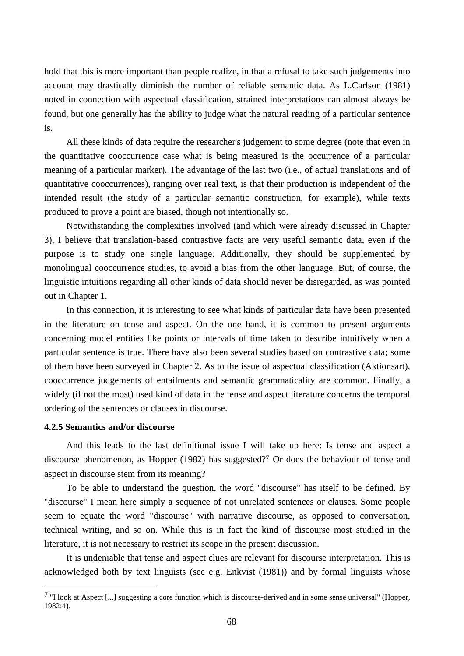hold that this is more important than people realize, in that a refusal to take such judgements into account may drastically diminish the number of reliable semantic data. As L.Carlson (1981) noted in connection with aspectual classification, strained interpretations can almost always be found, but one generally has the ability to judge what the natural reading of a particular sentence is.

All these kinds of data require the researcher's judgement to some degree (note that even in the quantitative cooccurrence case what is being measured is the occurrence of a particular meaning of a particular marker). The advantage of the last two (i.e., of actual translations and of quantitative cooccurrences), ranging over real text, is that their production is independent of the intended result (the study of a particular semantic construction, for example), while texts produced to prove a point are biased, though not intentionally so.

Notwithstanding the complexities involved (and which were already discussed in Chapter 3), I believe that translation-based contrastive facts are very useful semantic data, even if the purpose is to study one single language. Additionally, they should be supplemented by monolingual cooccurrence studies, to avoid a bias from the other language. But, of course, the linguistic intuitions regarding all other kinds of data should never be disregarded, as was pointed out in Chapter 1.

In this connection, it is interesting to see what kinds of particular data have been presented in the literature on tense and aspect. On the one hand, it is common to present arguments concerning model entities like points or intervals of time taken to describe intuitively when a particular sentence is true. There have also been several studies based on contrastive data; some of them have been surveyed in Chapter 2. As to the issue of aspectual classification (Aktionsart), cooccurrence judgements of entailments and semantic grammaticality are common. Finally, a widely (if not the most) used kind of data in the tense and aspect literature concerns the temporal ordering of the sentences or clauses in discourse.

# **4.2.5 Semantics and/or discourse**

 $\overline{a}$ 

And this leads to the last definitional issue I will take up here: Is tense and aspect a discourse phenomenon, as Hopper (1982) has suggested?7 Or does the behaviour of tense and aspect in discourse stem from its meaning?

To be able to understand the question, the word "discourse" has itself to be defined. By "discourse" I mean here simply a sequence of not unrelated sentences or clauses. Some people seem to equate the word "discourse" with narrative discourse, as opposed to conversation, technical writing, and so on. While this is in fact the kind of discourse most studied in the literature, it is not necessary to restrict its scope in the present discussion.

It is undeniable that tense and aspect clues are relevant for discourse interpretation. This is acknowledged both by text linguists (see e.g. Enkvist (1981)) and by formal linguists whose

 $\frac{7}{1}$  "I look at Aspect [...] suggesting a core function which is discourse-derived and in some sense universal" (Hopper, 1982:4).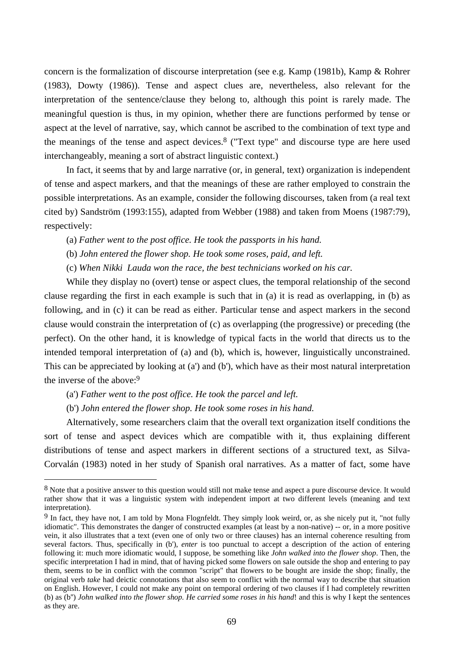concern is the formalization of discourse interpretation (see e.g. Kamp (1981b), Kamp & Rohrer (1983), Dowty (1986)). Tense and aspect clues are, nevertheless, also relevant for the interpretation of the sentence/clause they belong to, although this point is rarely made. The meaningful question is thus, in my opinion, whether there are functions performed by tense or aspect at the level of narrative, say, which cannot be ascribed to the combination of text type and the meanings of the tense and aspect devices.8 ("Text type" and discourse type are here used interchangeably, meaning a sort of abstract linguistic context.)

In fact, it seems that by and large narrative (or, in general, text) organization is independent of tense and aspect markers, and that the meanings of these are rather employed to constrain the possible interpretations. As an example, consider the following discourses, taken from (a real text cited by) Sandström (1993:155), adapted from Webber (1988) and taken from Moens (1987:79), respectively:

(a) *Father went to the post office. He took the passports in his hand.*

- (b) *John entered the flower shop. He took some roses, paid, and left.*
- (c) *When Nikki Lauda won the race, the best technicians worked on his car.*

While they display no (overt) tense or aspect clues, the temporal relationship of the second clause regarding the first in each example is such that in (a) it is read as overlapping, in (b) as following, and in (c) it can be read as either. Particular tense and aspect markers in the second clause would constrain the interpretation of (c) as overlapping (the progressive) or preceding (the perfect). On the other hand, it is knowledge of typical facts in the world that directs us to the intended temporal interpretation of (a) and (b), which is, however, linguistically unconstrained. This can be appreciated by looking at (a') and (b'), which have as their most natural interpretation the inverse of the above:9

(a') *Father went to the post office. He took the parcel and left.*

 $\overline{a}$ 

(b') *John entered the flower shop. He took some roses in his hand.*

Alternatively, some researchers claim that the overall text organization itself conditions the sort of tense and aspect devices which are compatible with it, thus explaining different distributions of tense and aspect markers in different sections of a structured text, as Silva-Corvalán (1983) noted in her study of Spanish oral narratives. As a matter of fact, some have

<sup>8</sup> Note that a positive answer to this question would still not make tense and aspect a pure discourse device. It would rather show that it was a linguistic system with independent import at two different levels (meaning and text interpretation).

<sup>9</sup> In fact, they have not, I am told by Mona Flognfeldt. They simply look weird, or, as she nicely put it, "not fully idiomatic". This demonstrates the danger of constructed examples (at least by a non-native) -- or, in a more positive vein, it also illustrates that a text (even one of only two or three clauses) has an internal coherence resulting from several factors. Thus, specifically in (b'), *enter* is too punctual to accept a description of the action of entering following it: much more idiomatic would, I suppose, be something like *John walked into the flower shop*. Then, the specific interpretation I had in mind, that of having picked some flowers on sale outside the shop and entering to pay them, seems to be in conflict with the common "script" that flowers to be bought are inside the shop; finally, the original verb *take* had deictic connotations that also seem to conflict with the normal way to describe that situation on English. However, I could not make any point on temporal ordering of two clauses if I had completely rewritten (b) as (b'') *John walked into the flower shop. He carried some roses in his hand*! and this is why I kept the sentences as they are.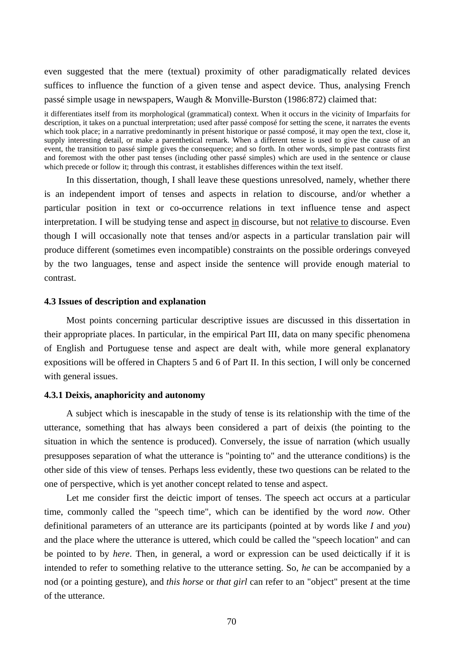even suggested that the mere (textual) proximity of other paradigmatically related devices suffices to influence the function of a given tense and aspect device. Thus, analysing French passé simple usage in newspapers, Waugh & Monville-Burston (1986:872) claimed that:

it differentiates itself from its morphological (grammatical) context. When it occurs in the vicinity of Imparfaits for description, it takes on a punctual interpretation; used after passé composé for setting the scene, it narrates the events which took place; in a narrative predominantly in présent historique or passé composé, it may open the text, close it, supply interesting detail, or make a parenthetical remark. When a different tense is used to give the cause of an event, the transition to passé simple gives the consequence; and so forth. In other words, simple past contrasts first and foremost with the other past tenses (including other passé simples) which are used in the sentence or clause which precede or follow it; through this contrast, it establishes differences within the text itself.

In this dissertation, though, I shall leave these questions unresolved, namely, whether there is an independent import of tenses and aspects in relation to discourse, and/or whether a particular position in text or co-occurrence relations in text influence tense and aspect interpretation. I will be studying tense and aspect in discourse, but not relative to discourse. Even though I will occasionally note that tenses and/or aspects in a particular translation pair will produce different (sometimes even incompatible) constraints on the possible orderings conveyed by the two languages, tense and aspect inside the sentence will provide enough material to contrast.

#### **4.3 Issues of description and explanation**

Most points concerning particular descriptive issues are discussed in this dissertation in their appropriate places. In particular, in the empirical Part III, data on many specific phenomena of English and Portuguese tense and aspect are dealt with, while more general explanatory expositions will be offered in Chapters 5 and 6 of Part II. In this section, I will only be concerned with general issues.

# **4.3.1 Deixis, anaphoricity and autonomy**

A subject which is inescapable in the study of tense is its relationship with the time of the utterance, something that has always been considered a part of deixis (the pointing to the situation in which the sentence is produced). Conversely, the issue of narration (which usually presupposes separation of what the utterance is "pointing to" and the utterance conditions) is the other side of this view of tenses. Perhaps less evidently, these two questions can be related to the one of perspective, which is yet another concept related to tense and aspect.

Let me consider first the deictic import of tenses. The speech act occurs at a particular time, commonly called the "speech time", which can be identified by the word *now*. Other definitional parameters of an utterance are its participants (pointed at by words like *I* and *you*) and the place where the utterance is uttered, which could be called the "speech location" and can be pointed to by *here*. Then, in general, a word or expression can be used deictically if it is intended to refer to something relative to the utterance setting. So, *he* can be accompanied by a nod (or a pointing gesture), and *this horse* or *that girl* can refer to an "object" present at the time of the utterance.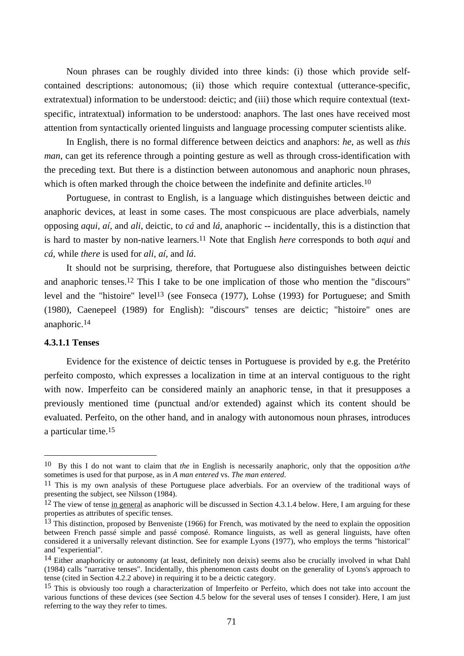Noun phrases can be roughly divided into three kinds: (i) those which provide selfcontained descriptions: autonomous; (ii) those which require contextual (utterance-specific, extratextual) information to be understood: deictic; and (iii) those which require contextual (textspecific, intratextual) information to be understood: anaphors. The last ones have received most attention from syntactically oriented linguists and language processing computer scientists alike.

In English, there is no formal difference between deictics and anaphors: *he*, as well as *this man*, can get its reference through a pointing gesture as well as through cross-identification with the preceding text. But there is a distinction between autonomous and anaphoric noun phrases, which is often marked through the choice between the indefinite and definite articles.<sup>10</sup>

Portuguese, in contrast to English, is a language which distinguishes between deictic and anaphoric devices, at least in some cases. The most conspicuous are place adverbials, namely opposing *aqui*, *aí*, and *ali*, deictic, to *cá* and *lá*, anaphoric -- incidentally, this is a distinction that is hard to master by non-native learners.11 Note that English *here* corresponds to both *aqui* and *cá*, while *there* is used for *ali*, *aí*, and *lá*.

It should not be surprising, therefore, that Portuguese also distinguishes between deictic and anaphoric tenses.12 This I take to be one implication of those who mention the "discours" level and the "histoire" level<sup>13</sup> (see Fonseca (1977), Lohse (1993) for Portuguese; and Smith (1980), Caenepeel (1989) for English): "discours" tenses are deictic; "histoire" ones are anaphoric.14

#### **4.3.1.1 Tenses**

 $\overline{a}$ 

Evidence for the existence of deictic tenses in Portuguese is provided by e.g. the Pretérito perfeito composto, which expresses a localization in time at an interval contiguous to the right with now. Imperfeito can be considered mainly an anaphoric tense, in that it presupposes a previously mentioned time (punctual and/or extended) against which its content should be evaluated. Perfeito, on the other hand, and in analogy with autonomous noun phrases, introduces a particular time.15

<sup>10</sup> By this I do not want to claim that *the* in English is necessarily anaphoric, only that the opposition *a/the* sometimes is used for that purpose, as in *A man entered* vs. *The man entered*.

<sup>11</sup> This is my own analysis of these Portuguese place adverbials. For an overview of the traditional ways of presenting the subject, see Nilsson (1984).

 $12$  The view of tense in general as anaphoric will be discussed in Section 4.3.1.4 below. Here, I am arguing for these properties as attributes of specific tenses.

<sup>&</sup>lt;sup>13</sup> This distinction, proposed by Benveniste (1966) for French, was motivated by the need to explain the opposition between French passé simple and passé composé. Romance linguists, as well as general linguists, have often considered it a universally relevant distinction. See for example Lyons (1977), who employs the terms "historical" and "experiential".

<sup>14</sup> Either anaphoricity or autonomy (at least, definitely non deixis) seems also be crucially involved in what Dahl (1984) calls "narrative tenses". Incidentally, this phenomenon casts doubt on the generality of Lyons's approach to tense (cited in Section 4.2.2 above) in requiring it to be a deictic category.

<sup>&</sup>lt;sup>15</sup> This is obviously too rough a characterization of Imperfeito or Perfeito, which does not take into account the various functions of these devices (see Section 4.5 below for the several uses of tenses I consider). Here, I am just referring to the way they refer to times.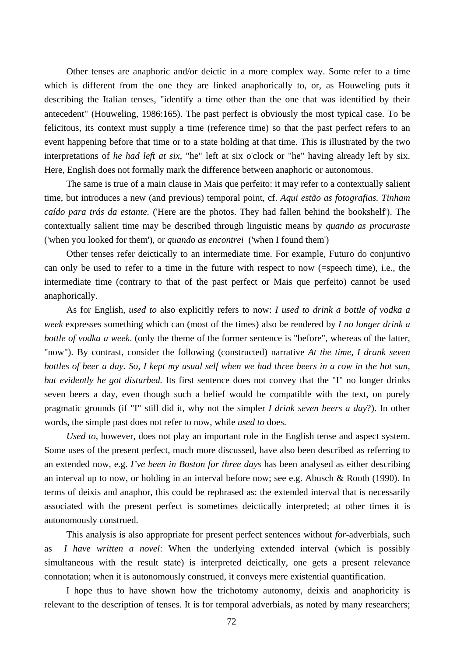Other tenses are anaphoric and/or deictic in a more complex way. Some refer to a time which is different from the one they are linked anaphorically to, or, as Houweling puts it describing the Italian tenses, "identify a time other than the one that was identified by their antecedent" (Houweling, 1986:165). The past perfect is obviously the most typical case. To be felicitous, its context must supply a time (reference time) so that the past perfect refers to an event happening before that time or to a state holding at that time. This is illustrated by the two interpretations of *he had left at six*, "he" left at six o'clock or "he" having already left by six. Here, English does not formally mark the difference between anaphoric or autonomous.

The same is true of a main clause in Mais que perfeito: it may refer to a contextually salient time, but introduces a new (and previous) temporal point, cf. *Aqui estão as fotografias. Tinham caído para trás da estante.* ('Here are the photos. They had fallen behind the bookshelf'). The contextually salient time may be described through linguistic means by *quando as procuraste*  ('when you looked for them'), or *quando as encontrei* ('when I found them')

Other tenses refer deictically to an intermediate time. For example, Futuro do conjuntivo can only be used to refer to a time in the future with respect to now (=speech time), i.e., the intermediate time (contrary to that of the past perfect or Mais que perfeito) cannot be used anaphorically.

As for English, *used to* also explicitly refers to now: *I used to drink a bottle of vodka a week* expresses something which can (most of the times) also be rendered by *I no longer drink a bottle of vodka a week*. (only the theme of the former sentence is "before", whereas of the latter, "now"). By contrast, consider the following (constructed) narrative *At the time, I drank seven bottles of beer a day. So, I kept my usual self when we had three beers in a row in the hot sun, but evidently he got disturbed.* Its first sentence does not convey that the "I" no longer drinks seven beers a day, even though such a belief would be compatible with the text, on purely pragmatic grounds (if "I" still did it, why not the simpler *I drink seven beers a day*?). In other words, the simple past does not refer to now, while *used to* does.

*Used to*, however, does not play an important role in the English tense and aspect system. Some uses of the present perfect, much more discussed, have also been described as referring to an extended now, e.g. *I've been in Boston for three days* has been analysed as either describing an interval up to now, or holding in an interval before now; see e.g. Abusch & Rooth (1990). In terms of deixis and anaphor, this could be rephrased as: the extended interval that is necessarily associated with the present perfect is sometimes deictically interpreted; at other times it is autonomously construed.

This analysis is also appropriate for present perfect sentences without *for*-adverbials, such as *I have written a novel*: When the underlying extended interval (which is possibly simultaneous with the result state) is interpreted deictically, one gets a present relevance connotation; when it is autonomously construed, it conveys mere existential quantification.

I hope thus to have shown how the trichotomy autonomy, deixis and anaphoricity is relevant to the description of tenses. It is for temporal adverbials, as noted by many researchers;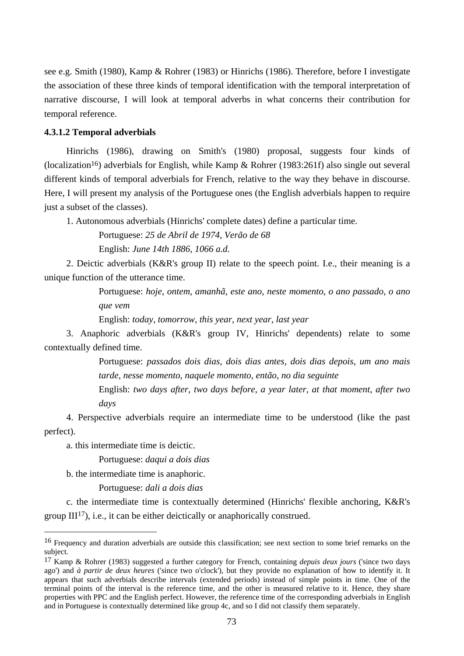see e.g. Smith (1980), Kamp & Rohrer (1983) or Hinrichs (1986). Therefore, before I investigate the association of these three kinds of temporal identification with the temporal interpretation of narrative discourse, I will look at temporal adverbs in what concerns their contribution for temporal reference.

# **4.3.1.2 Temporal adverbials**

Hinrichs (1986), drawing on Smith's (1980) proposal, suggests four kinds of (localization<sup>16</sup>) adverbials for English, while Kamp & Rohrer (1983:261f) also single out several different kinds of temporal adverbials for French, relative to the way they behave in discourse. Here, I will present my analysis of the Portuguese ones (the English adverbials happen to require just a subset of the classes).

1. Autonomous adverbials (Hinrichs' complete dates) define a particular time.

Portuguese: *25 de Abril de 1974*, *Verão de 68* English: *June 14th 1886*, *1066 a.d.*

2. Deictic adverbials (K&R's group II) relate to the speech point. I.e., their meaning is a unique function of the utterance time.

> Portuguese: *hoje*, *ontem*, *amanhã*, *este ano*, *neste momento*, *o ano passado*, *o ano que vem*

English: *today*, *tomorrow*, *this year*, *next year*, *last year*

3. Anaphoric adverbials (K&R's group IV, Hinrichs' dependents) relate to some contextually defined time.

> Portuguese: *passados dois dias*, *dois dias antes*, *dois dias depois*, *um ano mais tarde*, *nesse momento*, *naquele momento*, *então*, *no dia seguinte*

> English: *two days after*, *two days before*, *a year later*, *at that moment*, *after two days*

4. Perspective adverbials require an intermediate time to be understood (like the past perfect).

a. this intermediate time is deictic.

Portuguese: *daqui a dois dias*

b. the intermediate time is anaphoric.

 $\overline{a}$ 

Portuguese: *dali a dois dias*

c. the intermediate time is contextually determined (Hinrichs' flexible anchoring, K&R's group  $III^{17}$ ), i.e., it can be either deictically or anaphorically construed.

<sup>16</sup> Frequency and duration adverbials are outside this classification; see next section to some brief remarks on the subject.

<sup>17</sup> Kamp & Rohrer (1983) suggested a further category for French, containing *depuis deux jours* ('since two days ago') and *à partir de deux heures* ('since two o'clock'), but they provide no explanation of how to identify it. It appears that such adverbials describe intervals (extended periods) instead of simple points in time. One of the terminal points of the interval is the reference time, and the other is measured relative to it. Hence, they share properties with PPC and the English perfect. However, the reference time of the corresponding adverbials in English and in Portuguese is contextually determined like group 4c, and so I did not classify them separately.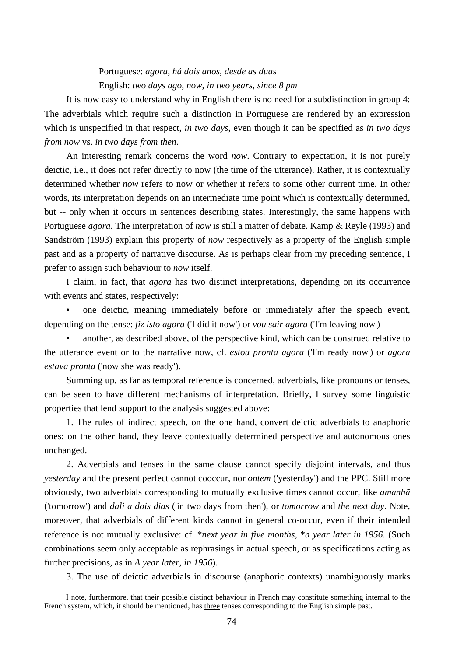# Portuguese: *agora*, *há dois anos*, *desde as duas* English: *two days ago*, *now*, *in two years, since 8 pm*

It is now easy to understand why in English there is no need for a subdistinction in group 4: The adverbials which require such a distinction in Portuguese are rendered by an expression which is unspecified in that respect, *in two days*, even though it can be specified as *in two days from now* vs. *in two days from then*.

An interesting remark concerns the word *now*. Contrary to expectation, it is not purely deictic, i.e., it does not refer directly to now (the time of the utterance). Rather, it is contextually determined whether *now* refers to now or whether it refers to some other current time. In other words, its interpretation depends on an intermediate time point which is contextually determined, but -- only when it occurs in sentences describing states. Interestingly, the same happens with Portuguese *agora*. The interpretation of *now* is still a matter of debate. Kamp & Reyle (1993) and Sandström (1993) explain this property of *now* respectively as a property of the English simple past and as a property of narrative discourse. As is perhaps clear from my preceding sentence, I prefer to assign such behaviour to *now* itself.

I claim, in fact, that *agora* has two distinct interpretations, depending on its occurrence with events and states, respectively:

• one deictic, meaning immediately before or immediately after the speech event, depending on the tense: *fiz isto agora* ('I did it now') or *vou sair agora* ('I'm leaving now')

• another, as described above, of the perspective kind, which can be construed relative to the utterance event or to the narrative now, cf. *estou pronta agora* ('I'm ready now') or *agora estava pronta* ('now she was ready').

Summing up, as far as temporal reference is concerned, adverbials, like pronouns or tenses, can be seen to have different mechanisms of interpretation. Briefly, I survey some linguistic properties that lend support to the analysis suggested above:

1. The rules of indirect speech, on the one hand, convert deictic adverbials to anaphoric ones; on the other hand, they leave contextually determined perspective and autonomous ones unchanged.

2. Adverbials and tenses in the same clause cannot specify disjoint intervals, and thus *yesterday* and the present perfect cannot cooccur, nor *ontem* ('yesterday') and the PPC. Still more obviously, two adverbials corresponding to mutually exclusive times cannot occur, like *amanhã* ('tomorrow') and *dali a dois dias* ('in two days from then'), or *tomorrow* and *the next day*. Note, moreover, that adverbials of different kinds cannot in general co-occur, even if their intended reference is not mutually exclusive: cf. \**next year in five months*, \**a year later in 1956*. (Such combinations seem only acceptable as rephrasings in actual speech, or as specifications acting as further precisions, as in *A year later, in 1956*).

3. The use of deictic adverbials in discourse (anaphoric contexts) unambiguously marks

I note, furthermore, that their possible distinct behaviour in French may constitute something internal to the French system, which, it should be mentioned, has three tenses corresponding to the English simple past.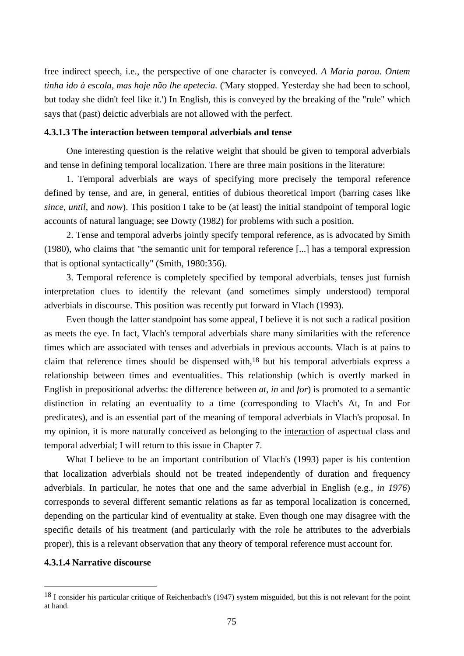free indirect speech, i.e., the perspective of one character is conveyed. *A Maria parou. Ontem tinha ido à escola, mas hoje não lhe apetecia.* ('Mary stopped. Yesterday she had been to school, but today she didn't feel like it.') In English, this is conveyed by the breaking of the "rule" which says that (past) deictic adverbials are not allowed with the perfect.

# **4.3.1.3 The interaction between temporal adverbials and tense**

One interesting question is the relative weight that should be given to temporal adverbials and tense in defining temporal localization. There are three main positions in the literature:

1. Temporal adverbials are ways of specifying more precisely the temporal reference defined by tense, and are, in general, entities of dubious theoretical import (barring cases like *since*, *until*, and *now*). This position I take to be (at least) the initial standpoint of temporal logic accounts of natural language; see Dowty (1982) for problems with such a position.

2. Tense and temporal adverbs jointly specify temporal reference, as is advocated by Smith (1980), who claims that "the semantic unit for temporal reference [...] has a temporal expression that is optional syntactically" (Smith, 1980:356).

3. Temporal reference is completely specified by temporal adverbials, tenses just furnish interpretation clues to identify the relevant (and sometimes simply understood) temporal adverbials in discourse. This position was recently put forward in Vlach (1993).

Even though the latter standpoint has some appeal, I believe it is not such a radical position as meets the eye. In fact, Vlach's temporal adverbials share many similarities with the reference times which are associated with tenses and adverbials in previous accounts. Vlach is at pains to claim that reference times should be dispensed with,18 but his temporal adverbials express a relationship between times and eventualities. This relationship (which is overtly marked in English in prepositional adverbs: the difference between *at*, *in* and *for*) is promoted to a semantic distinction in relating an eventuality to a time (corresponding to Vlach's At, In and For predicates), and is an essential part of the meaning of temporal adverbials in Vlach's proposal. In my opinion, it is more naturally conceived as belonging to the interaction of aspectual class and temporal adverbial; I will return to this issue in Chapter 7.

What I believe to be an important contribution of Vlach's (1993) paper is his contention that localization adverbials should not be treated independently of duration and frequency adverbials. In particular, he notes that one and the same adverbial in English (e.g., *in 1976*) corresponds to several different semantic relations as far as temporal localization is concerned, depending on the particular kind of eventuality at stake. Even though one may disagree with the specific details of his treatment (and particularly with the role he attributes to the adverbials proper), this is a relevant observation that any theory of temporal reference must account for.

# **4.3.1.4 Narrative discourse**

<sup>&</sup>lt;sup>18</sup> I consider his particular critique of Reichenbach's (1947) system misguided, but this is not relevant for the point at hand.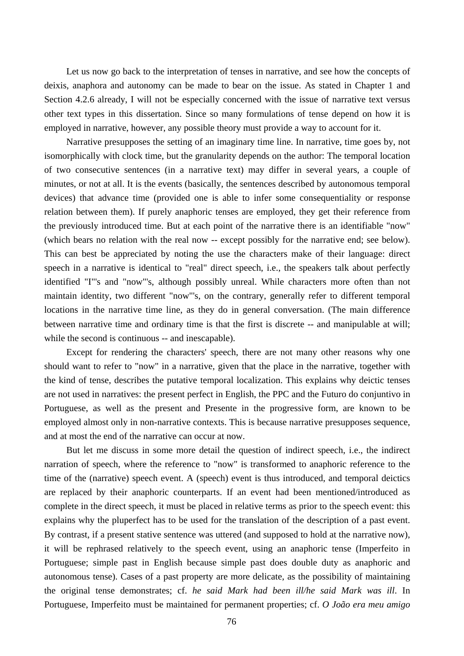Let us now go back to the interpretation of tenses in narrative, and see how the concepts of deixis, anaphora and autonomy can be made to bear on the issue. As stated in Chapter 1 and Section 4.2.6 already, I will not be especially concerned with the issue of narrative text versus other text types in this dissertation. Since so many formulations of tense depend on how it is employed in narrative, however, any possible theory must provide a way to account for it.

Narrative presupposes the setting of an imaginary time line. In narrative, time goes by, not isomorphically with clock time, but the granularity depends on the author: The temporal location of two consecutive sentences (in a narrative text) may differ in several years, a couple of minutes, or not at all. It is the events (basically, the sentences described by autonomous temporal devices) that advance time (provided one is able to infer some consequentiality or response relation between them). If purely anaphoric tenses are employed, they get their reference from the previously introduced time. But at each point of the narrative there is an identifiable "now" (which bears no relation with the real now -- except possibly for the narrative end; see below). This can best be appreciated by noting the use the characters make of their language: direct speech in a narrative is identical to "real" direct speech, i.e., the speakers talk about perfectly identified "I"'s and "now"'s, although possibly unreal. While characters more often than not maintain identity, two different "now"'s, on the contrary, generally refer to different temporal locations in the narrative time line, as they do in general conversation. (The main difference between narrative time and ordinary time is that the first is discrete -- and manipulable at will; while the second is continuous -- and inescapable).

Except for rendering the characters' speech, there are not many other reasons why one should want to refer to "now" in a narrative, given that the place in the narrative, together with the kind of tense, describes the putative temporal localization. This explains why deictic tenses are not used in narratives: the present perfect in English, the PPC and the Futuro do conjuntivo in Portuguese, as well as the present and Presente in the progressive form, are known to be employed almost only in non-narrative contexts. This is because narrative presupposes sequence, and at most the end of the narrative can occur at now.

But let me discuss in some more detail the question of indirect speech, i.e., the indirect narration of speech, where the reference to "now" is transformed to anaphoric reference to the time of the (narrative) speech event. A (speech) event is thus introduced, and temporal deictics are replaced by their anaphoric counterparts. If an event had been mentioned/introduced as complete in the direct speech, it must be placed in relative terms as prior to the speech event: this explains why the pluperfect has to be used for the translation of the description of a past event. By contrast, if a present stative sentence was uttered (and supposed to hold at the narrative now), it will be rephrased relatively to the speech event, using an anaphoric tense (Imperfeito in Portuguese; simple past in English because simple past does double duty as anaphoric and autonomous tense). Cases of a past property are more delicate, as the possibility of maintaining the original tense demonstrates; cf. *he said Mark had been ill/he said Mark was ill*. In Portuguese, Imperfeito must be maintained for permanent properties; cf. *O João era meu amigo*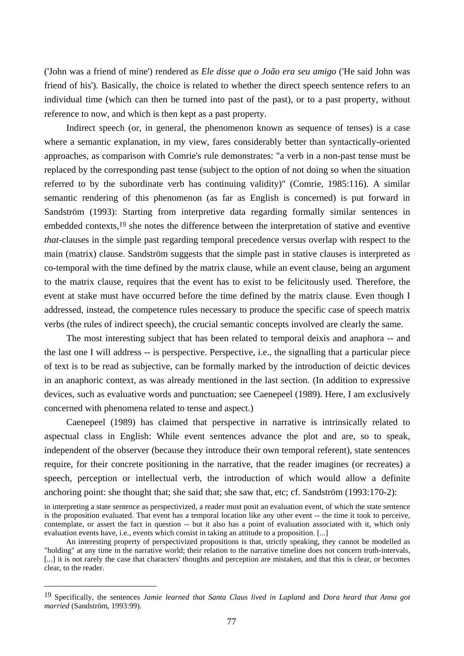('John was a friend of mine') rendered as *Ele disse que o João era seu amigo* ('He said John was friend of his'). Basically, the choice is related to whether the direct speech sentence refers to an individual time (which can then be turned into past of the past), or to a past property, without reference to now, and which is then kept as a past property.

Indirect speech (or, in general, the phenomenon known as sequence of tenses) is a case where a semantic explanation, in my view, fares considerably better than syntactically-oriented approaches, as comparison with Comrie's rule demonstrates: "a verb in a non-past tense must be replaced by the corresponding past tense (subject to the option of not doing so when the situation referred to by the subordinate verb has continuing validity)" (Comrie, 1985:116). A similar semantic rendering of this phenomenon (as far as English is concerned) is put forward in Sandström (1993): Starting from interpretive data regarding formally similar sentences in embedded contexts,19 she notes the difference between the interpretation of stative and eventive *that*-clauses in the simple past regarding temporal precedence versus overlap with respect to the main (matrix) clause. Sandström suggests that the simple past in stative clauses is interpreted as co-temporal with the time defined by the matrix clause, while an event clause, being an argument to the matrix clause, requires that the event has to exist to be felicitously used. Therefore, the event at stake must have occurred before the time defined by the matrix clause. Even though I addressed, instead, the competence rules necessary to produce the specific case of speech matrix verbs (the rules of indirect speech), the crucial semantic concepts involved are clearly the same.

The most interesting subject that has been related to temporal deixis and anaphora -- and the last one I will address -- is perspective. Perspective, i.e., the signalling that a particular piece of text is to be read as subjective, can be formally marked by the introduction of deictic devices in an anaphoric context, as was already mentioned in the last section. (In addition to expressive devices, such as evaluative words and punctuation; see Caenepeel (1989). Here, I am exclusively concerned with phenomena related to tense and aspect.)

Caenepeel (1989) has claimed that perspective in narrative is intrinsically related to aspectual class in English: While event sentences advance the plot and are, so to speak, independent of the observer (because they introduce their own temporal referent), state sentences require, for their concrete positioning in the narrative, that the reader imagines (or recreates) a speech, perception or intellectual verb, the introduction of which would allow a definite anchoring point: she thought that; she said that; she saw that, etc; cf. Sandström (1993:170-2):

in interpreting a state sentence as perspectivized, a reader must posit an evaluation event, of which the state sentence is the proposition evaluated. That event has a temporal location like any other event -- the time it took to perceive, contemplate, or assert the fact in question -- but it also has a point of evaluation associated with it, which only evaluation events have, i.e., events which consist in taking an attitude to a proposition. [...]

An interesting property of perspectivized propositions is that, strictly speaking, they cannot be modelled as "holding" at any time in the narrative world; their relation to the narrative timeline does not concern truth-intervals, [...] it is not rarely the case that characters' thoughts and perception are mistaken, and that this is clear, or becomes clear, to the reader.

<sup>19</sup> Specifically, the sentences *Jamie learned that Santa Claus lived in Lapland* and *Dora heard that Anna got married* (Sandström, 1993:99).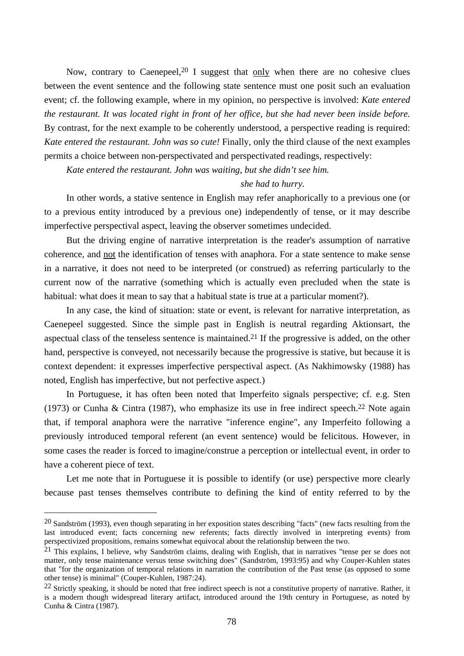Now, contrary to Caenepeel, $20$  I suggest that only when there are no cohesive clues between the event sentence and the following state sentence must one posit such an evaluation event; cf. the following example, where in my opinion, no perspective is involved: *Kate entered the restaurant. It was located right in front of her office, but she had never been inside before.*  By contrast, for the next example to be coherently understood, a perspective reading is required: *Kate entered the restaurant. John was so cute!* Finally, only the third clause of the next examples permits a choice between non-perspectivated and perspectivated readings, respectively:

*Kate entered the restaurant. John was waiting, but she didn't see him.* 

# *she had to hurry.*

In other words, a stative sentence in English may refer anaphorically to a previous one (or to a previous entity introduced by a previous one) independently of tense, or it may describe imperfective perspectival aspect, leaving the observer sometimes undecided.

But the driving engine of narrative interpretation is the reader's assumption of narrative coherence, and not the identification of tenses with anaphora. For a state sentence to make sense in a narrative, it does not need to be interpreted (or construed) as referring particularly to the current now of the narrative (something which is actually even precluded when the state is habitual: what does it mean to say that a habitual state is true at a particular moment?).

In any case, the kind of situation: state or event, is relevant for narrative interpretation, as Caenepeel suggested. Since the simple past in English is neutral regarding Aktionsart, the aspectual class of the tenseless sentence is maintained.21 If the progressive is added, on the other hand, perspective is conveyed, not necessarily because the progressive is stative, but because it is context dependent: it expresses imperfective perspectival aspect. (As Nakhimowsky (1988) has noted, English has imperfective, but not perfective aspect.)

In Portuguese, it has often been noted that Imperfeito signals perspective; cf. e.g. Sten (1973) or Cunha & Cintra (1987), who emphasize its use in free indirect speech.<sup>22</sup> Note again that, if temporal anaphora were the narrative "inference engine", any Imperfeito following a previously introduced temporal referent (an event sentence) would be felicitous. However, in some cases the reader is forced to imagine/construe a perception or intellectual event, in order to have a coherent piece of text.

Let me note that in Portuguese it is possible to identify (or use) perspective more clearly because past tenses themselves contribute to defining the kind of entity referred to by the

 $20$  Sandström (1993), even though separating in her exposition states describing "facts" (new facts resulting from the last introduced event; facts concerning new referents; facts directly involved in interpreting events) from perspectivized propositions, remains somewhat equivocal about the relationship between the two.

 $21$  This explains, I believe, why Sandström claims, dealing with English, that in narratives "tense per se does not matter, only tense maintenance versus tense switching does" (Sandström, 1993:95) and why Couper-Kuhlen states that "for the organization of temporal relations in narration the contribution of the Past tense (as opposed to some other tense) is minimal" (Couper-Kuhlen, 1987:24).

 $^{22}$  Strictly speaking, it should be noted that free indirect speech is not a constitutive property of narrative. Rather, it is a modern though widespread literary artifact, introduced around the 19th century in Portuguese, as noted by Cunha & Cintra (1987).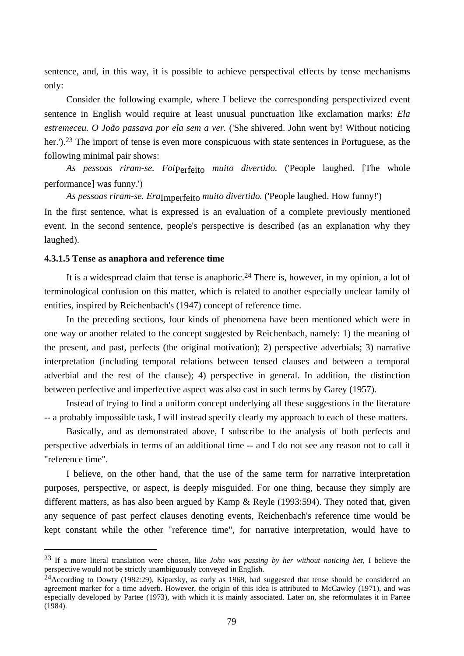sentence, and, in this way, it is possible to achieve perspectival effects by tense mechanisms only:

Consider the following example, where I believe the corresponding perspectivized event sentence in English would require at least unusual punctuation like exclamation marks: *Ela estremeceu. O João passava por ela sem a ver.* ('She shivered. John went by! Without noticing her.').<sup>23</sup> The import of tense is even more conspicuous with state sentences in Portuguese, as the following minimal pair shows:

*As pessoas riram-se. Foi*Perfeito *muito divertido.* ('People laughed. [The whole performance] was funny.')

*As pessoas riram-se. Era*Imperfeito *muito divertido.* ('People laughed. How funny!')

In the first sentence, what is expressed is an evaluation of a complete previously mentioned event. In the second sentence, people's perspective is described (as an explanation why they laughed).

# **4.3.1.5 Tense as anaphora and reference time**

 $\overline{a}$ 

It is a widespread claim that tense is anaphoric.<sup>24</sup> There is, however, in my opinion, a lot of terminological confusion on this matter, which is related to another especially unclear family of entities, inspired by Reichenbach's (1947) concept of reference time.

In the preceding sections, four kinds of phenomena have been mentioned which were in one way or another related to the concept suggested by Reichenbach, namely: 1) the meaning of the present, and past, perfects (the original motivation); 2) perspective adverbials; 3) narrative interpretation (including temporal relations between tensed clauses and between a temporal adverbial and the rest of the clause); 4) perspective in general. In addition, the distinction between perfective and imperfective aspect was also cast in such terms by Garey (1957).

Instead of trying to find a uniform concept underlying all these suggestions in the literature -- a probably impossible task, I will instead specify clearly my approach to each of these matters.

Basically, and as demonstrated above, I subscribe to the analysis of both perfects and perspective adverbials in terms of an additional time -- and I do not see any reason not to call it "reference time".

I believe, on the other hand, that the use of the same term for narrative interpretation purposes, perspective, or aspect, is deeply misguided. For one thing, because they simply are different matters, as has also been argued by Kamp & Reyle (1993:594). They noted that, given any sequence of past perfect clauses denoting events, Reichenbach's reference time would be kept constant while the other "reference time", for narrative interpretation, would have to

<sup>23</sup> If a more literal translation were chosen, like *John was passing by her without noticing he*r, I believe the perspective would not be strictly unambiguously conveyed in English.

<sup>&</sup>lt;sup>24</sup>According to Dowty (1982:29), Kiparsky, as early as 1968, had suggested that tense should be considered an agreement marker for a time adverb. However, the origin of this idea is attributed to McCawley (1971), and was especially developed by Partee (1973), with which it is mainly associated. Later on, she reformulates it in Partee (1984).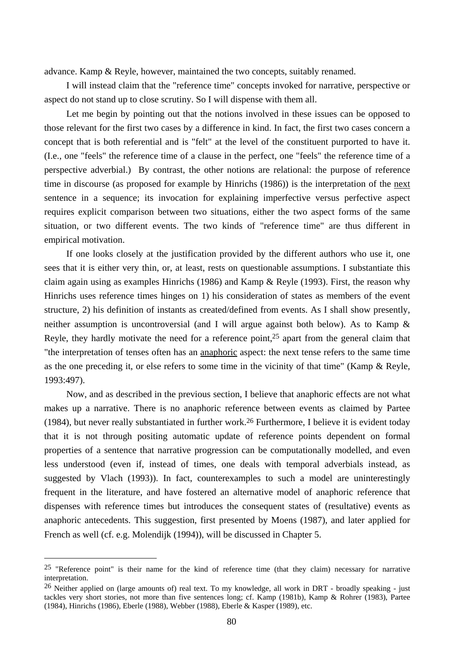advance. Kamp & Reyle, however, maintained the two concepts, suitably renamed.

I will instead claim that the "reference time" concepts invoked for narrative, perspective or aspect do not stand up to close scrutiny. So I will dispense with them all.

Let me begin by pointing out that the notions involved in these issues can be opposed to those relevant for the first two cases by a difference in kind. In fact, the first two cases concern a concept that is both referential and is "felt" at the level of the constituent purported to have it. (I.e., one "feels" the reference time of a clause in the perfect, one "feels" the reference time of a perspective adverbial.) By contrast, the other notions are relational: the purpose of reference time in discourse (as proposed for example by Hinrichs (1986)) is the interpretation of the next sentence in a sequence; its invocation for explaining imperfective versus perfective aspect requires explicit comparison between two situations, either the two aspect forms of the same situation, or two different events. The two kinds of "reference time" are thus different in empirical motivation.

If one looks closely at the justification provided by the different authors who use it, one sees that it is either very thin, or, at least, rests on questionable assumptions. I substantiate this claim again using as examples Hinrichs (1986) and Kamp & Reyle (1993). First, the reason why Hinrichs uses reference times hinges on 1) his consideration of states as members of the event structure, 2) his definition of instants as created/defined from events. As I shall show presently, neither assumption is uncontroversial (and I will argue against both below). As to Kamp & Reyle, they hardly motivate the need for a reference point,<sup>25</sup> apart from the general claim that "the interpretation of tenses often has an anaphoric aspect: the next tense refers to the same time as the one preceding it, or else refers to some time in the vicinity of that time" (Kamp & Reyle, 1993:497).

Now, and as described in the previous section, I believe that anaphoric effects are not what makes up a narrative. There is no anaphoric reference between events as claimed by Partee (1984), but never really substantiated in further work.26 Furthermore, I believe it is evident today that it is not through positing automatic update of reference points dependent on formal properties of a sentence that narrative progression can be computationally modelled, and even less understood (even if, instead of times, one deals with temporal adverbials instead, as suggested by Vlach (1993)). In fact, counterexamples to such a model are uninterestingly frequent in the literature, and have fostered an alternative model of anaphoric reference that dispenses with reference times but introduces the consequent states of (resultative) events as anaphoric antecedents. This suggestion, first presented by Moens (1987), and later applied for French as well (cf. e.g. Molendijk (1994)), will be discussed in Chapter 5.

<sup>&</sup>lt;sup>25</sup> "Reference point" is their name for the kind of reference time (that they claim) necessary for narrative interpretation.

<sup>&</sup>lt;sup>26</sup> Neither applied on (large amounts of) real text. To my knowledge, all work in DRT - broadly speaking - just tackles very short stories, not more than five sentences long; cf. Kamp (1981b), Kamp & Rohrer (1983), Partee (1984), Hinrichs (1986), Eberle (1988), Webber (1988), Eberle & Kasper (1989), etc.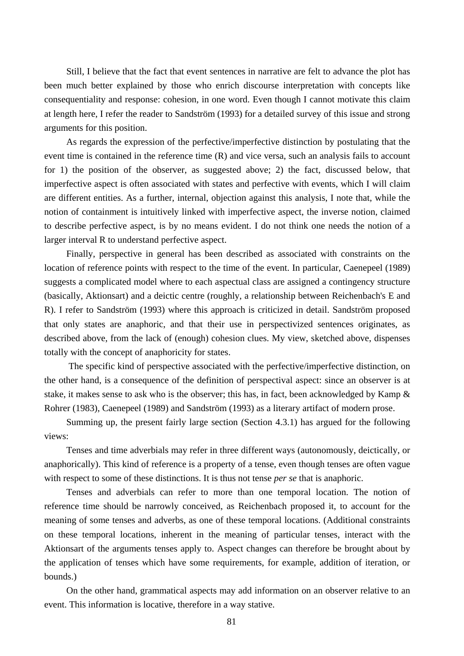Still, I believe that the fact that event sentences in narrative are felt to advance the plot has been much better explained by those who enrich discourse interpretation with concepts like consequentiality and response: cohesion, in one word. Even though I cannot motivate this claim at length here, I refer the reader to Sandström (1993) for a detailed survey of this issue and strong arguments for this position.

As regards the expression of the perfective/imperfective distinction by postulating that the event time is contained in the reference time (R) and vice versa, such an analysis fails to account for 1) the position of the observer, as suggested above; 2) the fact, discussed below, that imperfective aspect is often associated with states and perfective with events, which I will claim are different entities. As a further, internal, objection against this analysis, I note that, while the notion of containment is intuitively linked with imperfective aspect, the inverse notion, claimed to describe perfective aspect, is by no means evident. I do not think one needs the notion of a larger interval R to understand perfective aspect.

Finally, perspective in general has been described as associated with constraints on the location of reference points with respect to the time of the event. In particular, Caenepeel (1989) suggests a complicated model where to each aspectual class are assigned a contingency structure (basically, Aktionsart) and a deictic centre (roughly, a relationship between Reichenbach's E and R). I refer to Sandström (1993) where this approach is criticized in detail. Sandström proposed that only states are anaphoric, and that their use in perspectivized sentences originates, as described above, from the lack of (enough) cohesion clues. My view, sketched above, dispenses totally with the concept of anaphoricity for states.

 The specific kind of perspective associated with the perfective/imperfective distinction, on the other hand, is a consequence of the definition of perspectival aspect: since an observer is at stake, it makes sense to ask who is the observer; this has, in fact, been acknowledged by Kamp & Rohrer (1983), Caenepeel (1989) and Sandström (1993) as a literary artifact of modern prose.

Summing up, the present fairly large section (Section 4.3.1) has argued for the following views:

Tenses and time adverbials may refer in three different ways (autonomously, deictically, or anaphorically). This kind of reference is a property of a tense, even though tenses are often vague with respect to some of these distinctions. It is thus not tense *per se* that is anaphoric.

Tenses and adverbials can refer to more than one temporal location. The notion of reference time should be narrowly conceived, as Reichenbach proposed it, to account for the meaning of some tenses and adverbs, as one of these temporal locations. (Additional constraints on these temporal locations, inherent in the meaning of particular tenses, interact with the Aktionsart of the arguments tenses apply to. Aspect changes can therefore be brought about by the application of tenses which have some requirements, for example, addition of iteration, or bounds.)

On the other hand, grammatical aspects may add information on an observer relative to an event. This information is locative, therefore in a way stative.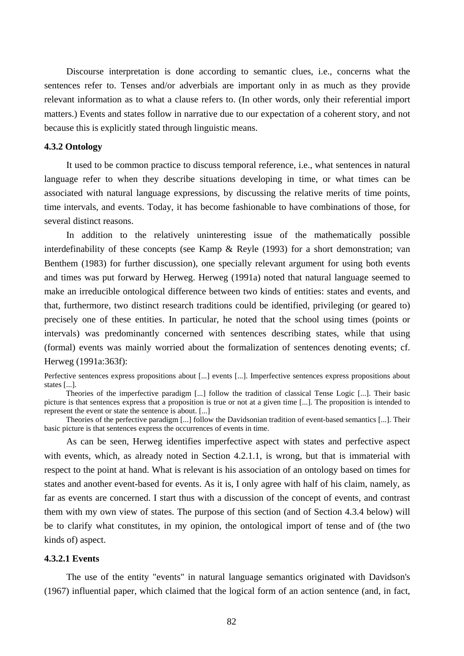Discourse interpretation is done according to semantic clues, i.e., concerns what the sentences refer to. Tenses and/or adverbials are important only in as much as they provide relevant information as to what a clause refers to. (In other words, only their referential import matters.) Events and states follow in narrative due to our expectation of a coherent story, and not because this is explicitly stated through linguistic means.

#### **4.3.2 Ontology**

It used to be common practice to discuss temporal reference, i.e., what sentences in natural language refer to when they describe situations developing in time, or what times can be associated with natural language expressions, by discussing the relative merits of time points, time intervals, and events. Today, it has become fashionable to have combinations of those, for several distinct reasons.

In addition to the relatively uninteresting issue of the mathematically possible interdefinability of these concepts (see Kamp & Reyle (1993) for a short demonstration; van Benthem (1983) for further discussion), one specially relevant argument for using both events and times was put forward by Herweg. Herweg (1991a) noted that natural language seemed to make an irreducible ontological difference between two kinds of entities: states and events, and that, furthermore, two distinct research traditions could be identified, privileging (or geared to) precisely one of these entities. In particular, he noted that the school using times (points or intervals) was predominantly concerned with sentences describing states, while that using (formal) events was mainly worried about the formalization of sentences denoting events; cf. Herweg (1991a:363f):

Perfective sentences express propositions about [...] events [...]. Imperfective sentences express propositions about states [...].

Theories of the imperfective paradigm [...] follow the tradition of classical Tense Logic [...]. Their basic picture is that sentences express that a proposition is true or not at a given time [...]. The proposition is intended to represent the event or state the sentence is about. [...]

Theories of the perfective paradigm [...] follow the Davidsonian tradition of event-based semantics [...]. Their basic picture is that sentences express the occurrences of events in time.

As can be seen, Herweg identifies imperfective aspect with states and perfective aspect with events, which, as already noted in Section 4.2.1.1, is wrong, but that is immaterial with respect to the point at hand. What is relevant is his association of an ontology based on times for states and another event-based for events. As it is, I only agree with half of his claim, namely, as far as events are concerned. I start thus with a discussion of the concept of events, and contrast them with my own view of states. The purpose of this section (and of Section 4.3.4 below) will be to clarify what constitutes, in my opinion, the ontological import of tense and of (the two kinds of) aspect.

# **4.3.2.1 Events**

The use of the entity "events" in natural language semantics originated with Davidson's (1967) influential paper, which claimed that the logical form of an action sentence (and, in fact,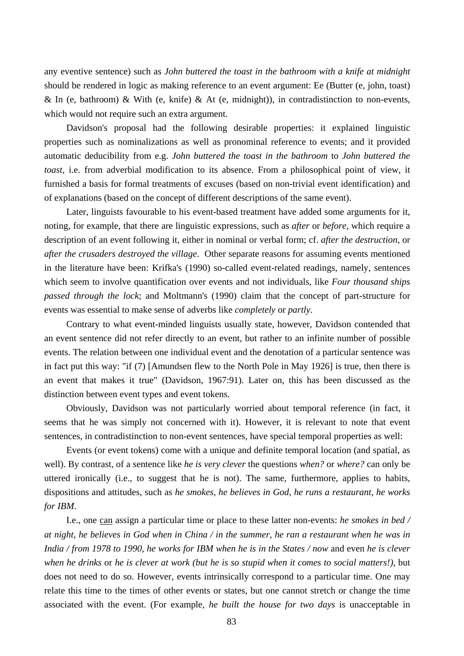any eventive sentence) such as *John buttered the toast in the bathroom with a knife at midnight* should be rendered in logic as making reference to an event argument: Ee (Butter (e, john, toast) & In (e, bathroom) & With (e, knife) & At (e, midnight)), in contradistinction to non-events, which would not require such an extra argument.

Davidson's proposal had the following desirable properties: it explained linguistic properties such as nominalizations as well as pronominal reference to events; and it provided automatic deducibility from e.g. *John buttered the toast in the bathroom* to *John buttered the toast*, i.e. from adverbial modification to its absence. From a philosophical point of view, it furnished a basis for formal treatments of excuses (based on non-trivial event identification) and of explanations (based on the concept of different descriptions of the same event).

Later, linguists favourable to his event-based treatment have added some arguments for it, noting, for example, that there are linguistic expressions, such as *after* or *before*, which require a description of an event following it, either in nominal or verbal form; cf. *after the destruction*, or *after the crusaders destroyed the village*. Other separate reasons for assuming events mentioned in the literature have been: Krifka's (1990) so-called event-related readings, namely, sentences which seem to involve quantification over events and not individuals, like *Four thousand ships passed through the lock*; and Moltmann's (1990) claim that the concept of part-structure for events was essential to make sense of adverbs like *completely* or *partly*.

Contrary to what event-minded linguists usually state, however, Davidson contended that an event sentence did not refer directly to an event, but rather to an infinite number of possible events. The relation between one individual event and the denotation of a particular sentence was in fact put this way: "if (7) [Amundsen flew to the North Pole in May 1926] is true, then there is an event that makes it true" (Davidson, 1967:91). Later on, this has been discussed as the distinction between event types and event tokens.

Obviously, Davidson was not particularly worried about temporal reference (in fact, it seems that he was simply not concerned with it). However, it is relevant to note that event sentences, in contradistinction to non-event sentences, have special temporal properties as well:

Events (or event tokens) come with a unique and definite temporal location (and spatial, as well). By contrast, of a sentence like *he is very clever* the questions *when?* or *where?* can only be uttered ironically (i.e., to suggest that he is not). The same, furthermore, applies to habits, dispositions and attitudes, such as *he smokes*, *he believes in God*, *he runs a restaurant*, *he works for IBM*.

I.e., one can assign a particular time or place to these latter non-events: *he smokes in bed / at night*, *he believes in God when in China / in the summer*, *he ran a restaurant when he was in India / from 1978 to 1990*, *he works for IBM when he is in the States / now* and even *he is clever when he drinks* or *he is clever at work (but he is so stupid when it comes to social matters!)*, but does not need to do so. However, events intrinsically correspond to a particular time. One may relate this time to the times of other events or states, but one cannot stretch or change the time associated with the event. (For example, *he built the house for two days* is unacceptable in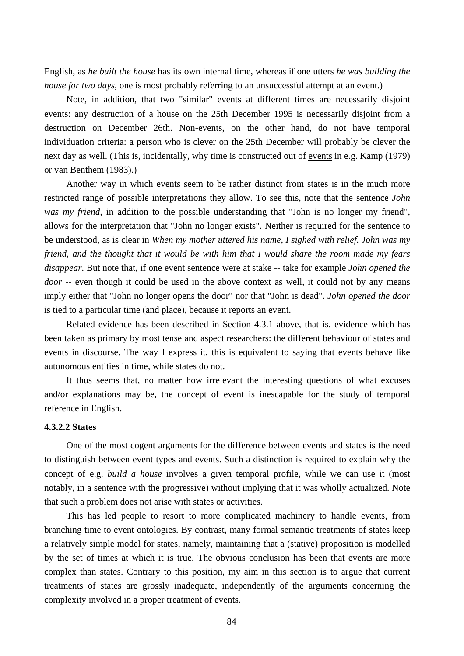English, as *he built the house* has its own internal time, whereas if one utters *he was building the house for two days*, one is most probably referring to an unsuccessful attempt at an event.)

Note, in addition, that two "similar" events at different times are necessarily disjoint events: any destruction of a house on the 25th December 1995 is necessarily disjoint from a destruction on December 26th. Non-events, on the other hand, do not have temporal individuation criteria: a person who is clever on the 25th December will probably be clever the next day as well. (This is, incidentally, why time is constructed out of events in e.g. Kamp (1979) or van Benthem (1983).)

Another way in which events seem to be rather distinct from states is in the much more restricted range of possible interpretations they allow. To see this, note that the sentence *John was my friend*, in addition to the possible understanding that "John is no longer my friend", allows for the interpretation that "John no longer exists". Neither is required for the sentence to be understood, as is clear in *When my mother uttered his name, I sighed with relief. John was my friend, and the thought that it would be with him that I would share the room made my fears disappear*. But note that, if one event sentence were at stake -- take for example *John opened the door* -- even though it could be used in the above context as well, it could not by any means imply either that "John no longer opens the door" nor that "John is dead". *John opened the door* is tied to a particular time (and place), because it reports an event.

Related evidence has been described in Section 4.3.1 above, that is, evidence which has been taken as primary by most tense and aspect researchers: the different behaviour of states and events in discourse. The way I express it, this is equivalent to saying that events behave like autonomous entities in time, while states do not.

It thus seems that, no matter how irrelevant the interesting questions of what excuses and/or explanations may be, the concept of event is inescapable for the study of temporal reference in English.

# **4.3.2.2 States**

One of the most cogent arguments for the difference between events and states is the need to distinguish between event types and events. Such a distinction is required to explain why the concept of e.g. *build a house* involves a given temporal profile, while we can use it (most notably, in a sentence with the progressive) without implying that it was wholly actualized. Note that such a problem does not arise with states or activities.

This has led people to resort to more complicated machinery to handle events, from branching time to event ontologies. By contrast, many formal semantic treatments of states keep a relatively simple model for states, namely, maintaining that a (stative) proposition is modelled by the set of times at which it is true. The obvious conclusion has been that events are more complex than states. Contrary to this position, my aim in this section is to argue that current treatments of states are grossly inadequate, independently of the arguments concerning the complexity involved in a proper treatment of events.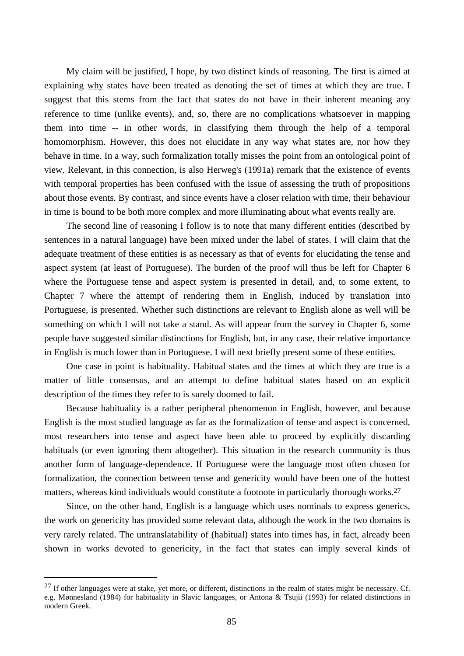My claim will be justified, I hope, by two distinct kinds of reasoning. The first is aimed at explaining why states have been treated as denoting the set of times at which they are true. I suggest that this stems from the fact that states do not have in their inherent meaning any reference to time (unlike events), and, so, there are no complications whatsoever in mapping them into time -- in other words, in classifying them through the help of a temporal homomorphism. However, this does not elucidate in any way what states are, nor how they behave in time. In a way, such formalization totally misses the point from an ontological point of view. Relevant, in this connection, is also Herweg's (1991a) remark that the existence of events with temporal properties has been confused with the issue of assessing the truth of propositions about those events. By contrast, and since events have a closer relation with time, their behaviour in time is bound to be both more complex and more illuminating about what events really are.

The second line of reasoning I follow is to note that many different entities (described by sentences in a natural language) have been mixed under the label of states. I will claim that the adequate treatment of these entities is as necessary as that of events for elucidating the tense and aspect system (at least of Portuguese). The burden of the proof will thus be left for Chapter 6 where the Portuguese tense and aspect system is presented in detail, and, to some extent, to Chapter 7 where the attempt of rendering them in English, induced by translation into Portuguese, is presented. Whether such distinctions are relevant to English alone as well will be something on which I will not take a stand. As will appear from the survey in Chapter 6, some people have suggested similar distinctions for English, but, in any case, their relative importance in English is much lower than in Portuguese. I will next briefly present some of these entities.

One case in point is habituality. Habitual states and the times at which they are true is a matter of little consensus, and an attempt to define habitual states based on an explicit description of the times they refer to is surely doomed to fail.

Because habituality is a rather peripheral phenomenon in English, however, and because English is the most studied language as far as the formalization of tense and aspect is concerned, most researchers into tense and aspect have been able to proceed by explicitly discarding habituals (or even ignoring them altogether). This situation in the research community is thus another form of language-dependence. If Portuguese were the language most often chosen for formalization, the connection between tense and genericity would have been one of the hottest matters, whereas kind individuals would constitute a footnote in particularly thorough works.<sup>27</sup>

Since, on the other hand, English is a language which uses nominals to express generics, the work on genericity has provided some relevant data, although the work in the two domains is very rarely related. The untranslatability of (habitual) states into times has, in fact, already been shown in works devoted to genericity, in the fact that states can imply several kinds of

 $27$  If other languages were at stake, yet more, or different, distinctions in the realm of states might be necessary. Cf. e.g. Mønnesland (1984) for habituality in Slavic languages, or Antona & Tsujii (1993) for related distinctions in modern Greek.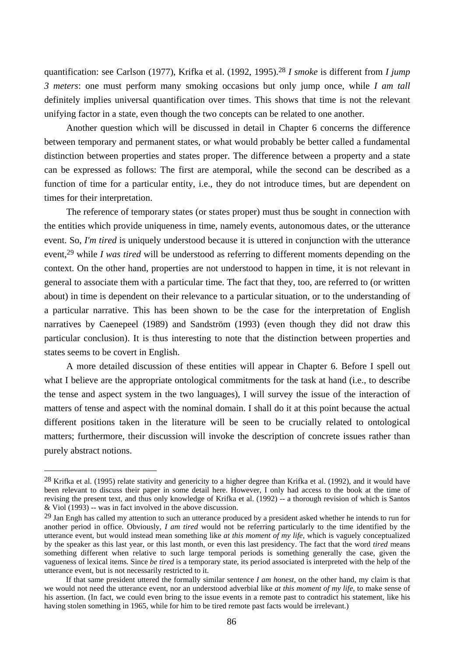quantification: see Carlson (1977), Krifka et al. (1992, 1995).28 *I smoke* is different from *I jump 3 meters*: one must perform many smoking occasions but only jump once, while *I am tall* definitely implies universal quantification over times. This shows that time is not the relevant unifying factor in a state, even though the two concepts can be related to one another.

Another question which will be discussed in detail in Chapter 6 concerns the difference between temporary and permanent states, or what would probably be better called a fundamental distinction between properties and states proper. The difference between a property and a state can be expressed as follows: The first are atemporal, while the second can be described as a function of time for a particular entity, i.e., they do not introduce times, but are dependent on times for their interpretation.

The reference of temporary states (or states proper) must thus be sought in connection with the entities which provide uniqueness in time, namely events, autonomous dates, or the utterance event. So, *I'm tired* is uniquely understood because it is uttered in conjunction with the utterance event,29 while *I was tired* will be understood as referring to different moments depending on the context. On the other hand, properties are not understood to happen in time, it is not relevant in general to associate them with a particular time. The fact that they, too, are referred to (or written about) in time is dependent on their relevance to a particular situation, or to the understanding of a particular narrative. This has been shown to be the case for the interpretation of English narratives by Caenepeel (1989) and Sandström (1993) (even though they did not draw this particular conclusion). It is thus interesting to note that the distinction between properties and states seems to be covert in English.

A more detailed discussion of these entities will appear in Chapter 6. Before I spell out what I believe are the appropriate ontological commitments for the task at hand (i.e., to describe the tense and aspect system in the two languages), I will survey the issue of the interaction of matters of tense and aspect with the nominal domain. I shall do it at this point because the actual different positions taken in the literature will be seen to be crucially related to ontological matters; furthermore, their discussion will invoke the description of concrete issues rather than purely abstract notions.

 $28$  Krifka et al. (1995) relate stativity and genericity to a higher degree than Krifka et al. (1992), and it would have been relevant to discuss their paper in some detail here. However, I only had access to the book at the time of revising the present text, and thus only knowledge of Krifka et al. (1992) -- a thorough revision of which is Santos & Viol (1993) -- was in fact involved in the above discussion.

<sup>&</sup>lt;sup>29</sup> Jan Engh has called my attention to such an utterance produced by a president asked whether he intends to run for another period in office. Obviously, *I am tired* would not be referring particularly to the time identified by the utterance event, but would instead mean something like *at this moment of my life*, which is vaguely conceptualized by the speaker as this last year, or this last month, or even this last presidency. The fact that the word *tired* means something different when relative to such large temporal periods is something generally the case, given the vagueness of lexical items. Since *be tired* is a temporary state, its period associated is interpreted with the help of the utterance event, but is not necessarily restricted to it.

If that same president uttered the formally similar sentence *I am honest*, on the other hand, my claim is that we would not need the utterance event, nor an understood adverbial like *at this moment of my life*, to make sense of his assertion. (In fact, we could even bring to the issue events in a remote past to contradict his statement, like his having stolen something in 1965, while for him to be tired remote past facts would be irrelevant.)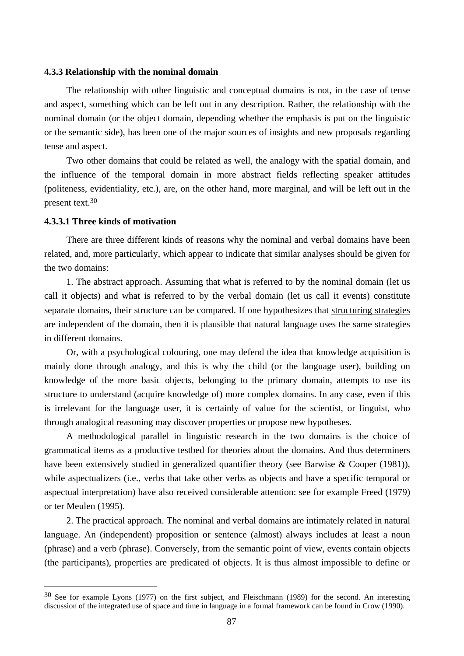## **4.3.3 Relationship with the nominal domain**

The relationship with other linguistic and conceptual domains is not, in the case of tense and aspect, something which can be left out in any description. Rather, the relationship with the nominal domain (or the object domain, depending whether the emphasis is put on the linguistic or the semantic side), has been one of the major sources of insights and new proposals regarding tense and aspect.

Two other domains that could be related as well, the analogy with the spatial domain, and the influence of the temporal domain in more abstract fields reflecting speaker attitudes (politeness, evidentiality, etc.), are, on the other hand, more marginal, and will be left out in the present text.30

## **4.3.3.1 Three kinds of motivation**

 $\overline{a}$ 

There are three different kinds of reasons why the nominal and verbal domains have been related, and, more particularly, which appear to indicate that similar analyses should be given for the two domains:

1. The abstract approach. Assuming that what is referred to by the nominal domain (let us call it objects) and what is referred to by the verbal domain (let us call it events) constitute separate domains, their structure can be compared. If one hypothesizes that structuring strategies are independent of the domain, then it is plausible that natural language uses the same strategies in different domains.

Or, with a psychological colouring, one may defend the idea that knowledge acquisition is mainly done through analogy, and this is why the child (or the language user), building on knowledge of the more basic objects, belonging to the primary domain, attempts to use its structure to understand (acquire knowledge of) more complex domains. In any case, even if this is irrelevant for the language user, it is certainly of value for the scientist, or linguist, who through analogical reasoning may discover properties or propose new hypotheses.

A methodological parallel in linguistic research in the two domains is the choice of grammatical items as a productive testbed for theories about the domains. And thus determiners have been extensively studied in generalized quantifier theory (see Barwise & Cooper (1981)), while aspectualizers (i.e., verbs that take other verbs as objects and have a specific temporal or aspectual interpretation) have also received considerable attention: see for example Freed (1979) or ter Meulen (1995).

2. The practical approach. The nominal and verbal domains are intimately related in natural language. An (independent) proposition or sentence (almost) always includes at least a noun (phrase) and a verb (phrase). Conversely, from the semantic point of view, events contain objects (the participants), properties are predicated of objects. It is thus almost impossible to define or

<sup>30</sup> See for example Lyons (1977) on the first subject, and Fleischmann (1989) for the second. An interesting discussion of the integrated use of space and time in language in a formal framework can be found in Crow (1990).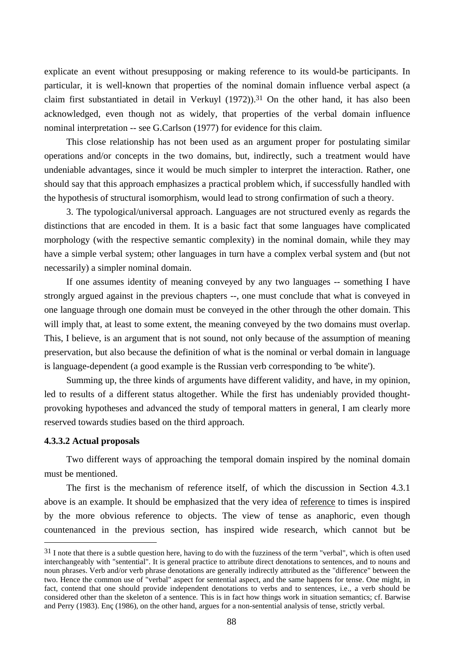explicate an event without presupposing or making reference to its would-be participants. In particular, it is well-known that properties of the nominal domain influence verbal aspect (a claim first substantiated in detail in Verkuyl  $(1972)$ ).<sup>31</sup> On the other hand, it has also been acknowledged, even though not as widely, that properties of the verbal domain influence nominal interpretation -- see G.Carlson (1977) for evidence for this claim.

This close relationship has not been used as an argument proper for postulating similar operations and/or concepts in the two domains, but, indirectly, such a treatment would have undeniable advantages, since it would be much simpler to interpret the interaction. Rather, one should say that this approach emphasizes a practical problem which, if successfully handled with the hypothesis of structural isomorphism, would lead to strong confirmation of such a theory.

3. The typological/universal approach. Languages are not structured evenly as regards the distinctions that are encoded in them. It is a basic fact that some languages have complicated morphology (with the respective semantic complexity) in the nominal domain, while they may have a simple verbal system; other languages in turn have a complex verbal system and (but not necessarily) a simpler nominal domain.

If one assumes identity of meaning conveyed by any two languages -- something I have strongly argued against in the previous chapters --, one must conclude that what is conveyed in one language through one domain must be conveyed in the other through the other domain. This will imply that, at least to some extent, the meaning conveyed by the two domains must overlap. This, I believe, is an argument that is not sound, not only because of the assumption of meaning preservation, but also because the definition of what is the nominal or verbal domain in language is language-dependent (a good example is the Russian verb corresponding to 'be white').

Summing up, the three kinds of arguments have different validity, and have, in my opinion, led to results of a different status altogether. While the first has undeniably provided thoughtprovoking hypotheses and advanced the study of temporal matters in general, I am clearly more reserved towards studies based on the third approach.

## **4.3.3.2 Actual proposals**

 $\overline{a}$ 

Two different ways of approaching the temporal domain inspired by the nominal domain must be mentioned.

The first is the mechanism of reference itself, of which the discussion in Section 4.3.1 above is an example. It should be emphasized that the very idea of reference to times is inspired by the more obvious reference to objects. The view of tense as anaphoric, even though countenanced in the previous section, has inspired wide research, which cannot but be

 $31$  I note that there is a subtle question here, having to do with the fuzziness of the term "verbal", which is often used interchangeably with "sentential". It is general practice to attribute direct denotations to sentences, and to nouns and noun phrases. Verb and/or verb phrase denotations are generally indirectly attributed as the "difference" between the two. Hence the common use of "verbal" aspect for sentential aspect, and the same happens for tense. One might, in fact, contend that one should provide independent denotations to verbs and to sentences, i.e., a verb should be considered other than the skeleton of a sentence. This is in fact how things work in situation semantics; cf. Barwise and Perry (1983). Enç (1986), on the other hand, argues for a non-sentential analysis of tense, strictly verbal.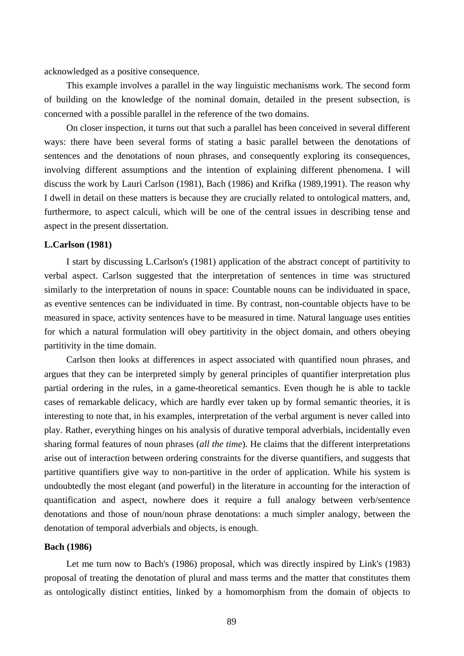acknowledged as a positive consequence.

This example involves a parallel in the way linguistic mechanisms work. The second form of building on the knowledge of the nominal domain, detailed in the present subsection, is concerned with a possible parallel in the reference of the two domains.

On closer inspection, it turns out that such a parallel has been conceived in several different ways: there have been several forms of stating a basic parallel between the denotations of sentences and the denotations of noun phrases, and consequently exploring its consequences, involving different assumptions and the intention of explaining different phenomena. I will discuss the work by Lauri Carlson (1981), Bach (1986) and Krifka (1989,1991). The reason why I dwell in detail on these matters is because they are crucially related to ontological matters, and, furthermore, to aspect calculi, which will be one of the central issues in describing tense and aspect in the present dissertation.

## **L.Carlson (1981)**

I start by discussing L.Carlson's (1981) application of the abstract concept of partitivity to verbal aspect. Carlson suggested that the interpretation of sentences in time was structured similarly to the interpretation of nouns in space: Countable nouns can be individuated in space, as eventive sentences can be individuated in time. By contrast, non-countable objects have to be measured in space, activity sentences have to be measured in time. Natural language uses entities for which a natural formulation will obey partitivity in the object domain, and others obeying partitivity in the time domain.

Carlson then looks at differences in aspect associated with quantified noun phrases, and argues that they can be interpreted simply by general principles of quantifier interpretation plus partial ordering in the rules, in a game-theoretical semantics. Even though he is able to tackle cases of remarkable delicacy, which are hardly ever taken up by formal semantic theories, it is interesting to note that, in his examples, interpretation of the verbal argument is never called into play. Rather, everything hinges on his analysis of durative temporal adverbials, incidentally even sharing formal features of noun phrases (*all the time*). He claims that the different interpretations arise out of interaction between ordering constraints for the diverse quantifiers, and suggests that partitive quantifiers give way to non-partitive in the order of application. While his system is undoubtedly the most elegant (and powerful) in the literature in accounting for the interaction of quantification and aspect, nowhere does it require a full analogy between verb/sentence denotations and those of noun/noun phrase denotations: a much simpler analogy, between the denotation of temporal adverbials and objects, is enough.

#### **Bach (1986)**

Let me turn now to Bach's (1986) proposal, which was directly inspired by Link's (1983) proposal of treating the denotation of plural and mass terms and the matter that constitutes them as ontologically distinct entities, linked by a homomorphism from the domain of objects to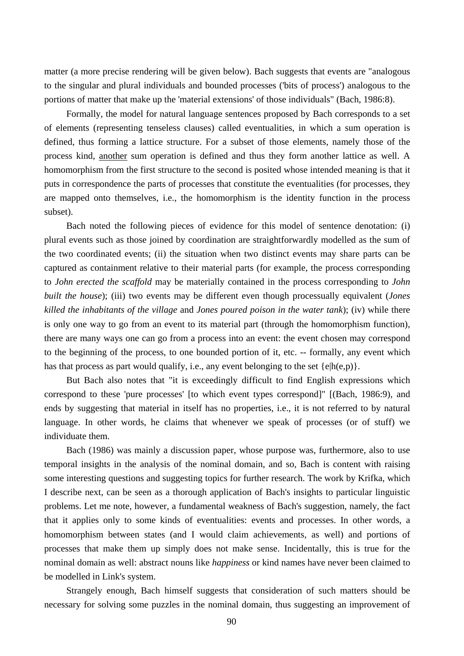matter (a more precise rendering will be given below). Bach suggests that events are "analogous to the singular and plural individuals and bounded processes ('bits of process') analogous to the portions of matter that make up the 'material extensions' of those individuals" (Bach, 1986:8).

Formally, the model for natural language sentences proposed by Bach corresponds to a set of elements (representing tenseless clauses) called eventualities, in which a sum operation is defined, thus forming a lattice structure. For a subset of those elements, namely those of the process kind, another sum operation is defined and thus they form another lattice as well. A homomorphism from the first structure to the second is posited whose intended meaning is that it puts in correspondence the parts of processes that constitute the eventualities (for processes, they are mapped onto themselves, i.e., the homomorphism is the identity function in the process subset).

Bach noted the following pieces of evidence for this model of sentence denotation: (i) plural events such as those joined by coordination are straightforwardly modelled as the sum of the two coordinated events; (ii) the situation when two distinct events may share parts can be captured as containment relative to their material parts (for example, the process corresponding to *John erected the scaffold* may be materially contained in the process corresponding to *John built the house*); (iii) two events may be different even though processually equivalent (*Jones killed the inhabitants of the village* and *Jones poured poison in the water tank*); (iv) while there is only one way to go from an event to its material part (through the homomorphism function), there are many ways one can go from a process into an event: the event chosen may correspond to the beginning of the process, to one bounded portion of it, etc. -- formally, any event which has that process as part would qualify, i.e., any event belonging to the set  $\{e|h(e,p)\}$ .

But Bach also notes that "it is exceedingly difficult to find English expressions which correspond to these 'pure processes' [to which event types correspond]" [(Bach, 1986:9), and ends by suggesting that material in itself has no properties, i.e., it is not referred to by natural language. In other words, he claims that whenever we speak of processes (or of stuff) we individuate them.

Bach (1986) was mainly a discussion paper, whose purpose was, furthermore, also to use temporal insights in the analysis of the nominal domain, and so, Bach is content with raising some interesting questions and suggesting topics for further research. The work by Krifka, which I describe next, can be seen as a thorough application of Bach's insights to particular linguistic problems. Let me note, however, a fundamental weakness of Bach's suggestion, namely, the fact that it applies only to some kinds of eventualities: events and processes. In other words, a homomorphism between states (and I would claim achievements, as well) and portions of processes that make them up simply does not make sense. Incidentally, this is true for the nominal domain as well: abstract nouns like *happiness* or kind names have never been claimed to be modelled in Link's system.

Strangely enough, Bach himself suggests that consideration of such matters should be necessary for solving some puzzles in the nominal domain, thus suggesting an improvement of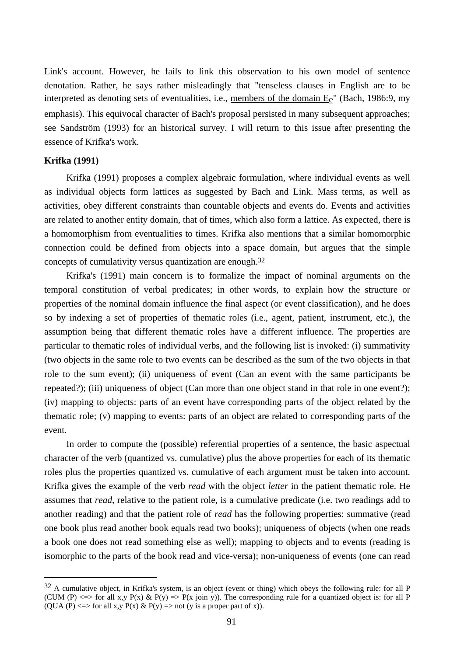Link's account. However, he fails to link this observation to his own model of sentence denotation. Rather, he says rather misleadingly that "tenseless clauses in English are to be interpreted as denoting sets of eventualities, i.e., members of the domain  $E<sub>e</sub>$ " (Bach, 1986:9, my emphasis). This equivocal character of Bach's proposal persisted in many subsequent approaches; see Sandström (1993) for an historical survey. I will return to this issue after presenting the essence of Krifka's work.

# **Krifka (1991)**

 $\overline{a}$ 

Krifka (1991) proposes a complex algebraic formulation, where individual events as well as individual objects form lattices as suggested by Bach and Link. Mass terms, as well as activities, obey different constraints than countable objects and events do. Events and activities are related to another entity domain, that of times, which also form a lattice. As expected, there is a homomorphism from eventualities to times. Krifka also mentions that a similar homomorphic connection could be defined from objects into a space domain, but argues that the simple concepts of cumulativity versus quantization are enough.32

Krifka's (1991) main concern is to formalize the impact of nominal arguments on the temporal constitution of verbal predicates; in other words, to explain how the structure or properties of the nominal domain influence the final aspect (or event classification), and he does so by indexing a set of properties of thematic roles (i.e., agent, patient, instrument, etc.), the assumption being that different thematic roles have a different influence. The properties are particular to thematic roles of individual verbs, and the following list is invoked: (i) summativity (two objects in the same role to two events can be described as the sum of the two objects in that role to the sum event); (ii) uniqueness of event (Can an event with the same participants be repeated?); (iii) uniqueness of object (Can more than one object stand in that role in one event?); (iv) mapping to objects: parts of an event have corresponding parts of the object related by the thematic role; (v) mapping to events: parts of an object are related to corresponding parts of the event.

In order to compute the (possible) referential properties of a sentence, the basic aspectual character of the verb (quantized vs. cumulative) plus the above properties for each of its thematic roles plus the properties quantized vs. cumulative of each argument must be taken into account. Krifka gives the example of the verb *read* with the object *letter* in the patient thematic role. He assumes that *read*, relative to the patient role, is a cumulative predicate (i.e. two readings add to another reading) and that the patient role of *read* has the following properties: summative (read one book plus read another book equals read two books); uniqueness of objects (when one reads a book one does not read something else as well); mapping to objects and to events (reading is isomorphic to the parts of the book read and vice-versa); non-uniqueness of events (one can read

 $32$  A cumulative object, in Krifka's system, is an object (event or thing) which obeys the following rule: for all P (CUM (P)  $\langle$  => for all x,y P(x) & P(y) => P(x join y)). The corresponding rule for a quantized object is: for all P (QUA (P)  $\le$  > for all x,y P(x) & P(y) => not (y is a proper part of x)).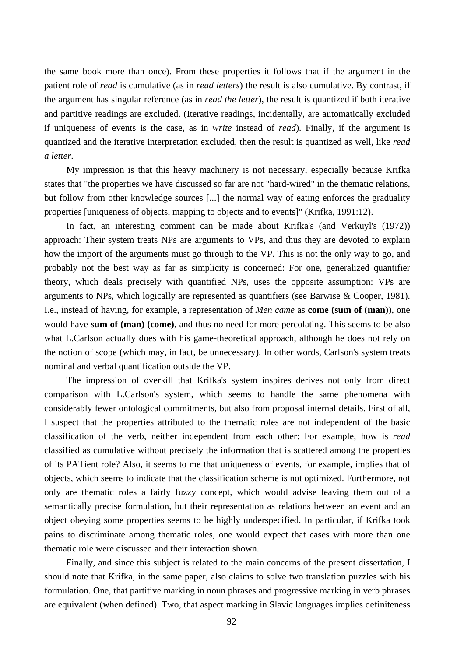the same book more than once). From these properties it follows that if the argument in the patient role of *read* is cumulative (as in *read letters*) the result is also cumulative. By contrast, if the argument has singular reference (as in *read the letter*), the result is quantized if both iterative and partitive readings are excluded. (Iterative readings, incidentally, are automatically excluded if uniqueness of events is the case, as in *write* instead of *read*). Finally, if the argument is quantized and the iterative interpretation excluded, then the result is quantized as well, like *read a letter*.

My impression is that this heavy machinery is not necessary, especially because Krifka states that "the properties we have discussed so far are not "hard-wired" in the thematic relations, but follow from other knowledge sources [...] the normal way of eating enforces the graduality properties [uniqueness of objects, mapping to objects and to events]" (Krifka, 1991:12).

In fact, an interesting comment can be made about Krifka's (and Verkuyl's (1972)) approach: Their system treats NPs are arguments to VPs, and thus they are devoted to explain how the import of the arguments must go through to the VP. This is not the only way to go, and probably not the best way as far as simplicity is concerned: For one, generalized quantifier theory, which deals precisely with quantified NPs, uses the opposite assumption: VPs are arguments to NPs, which logically are represented as quantifiers (see Barwise & Cooper, 1981). I.e., instead of having, for example, a representation of *Men came* as **come (sum of (man))**, one would have **sum of (man) (come)**, and thus no need for more percolating. This seems to be also what L.Carlson actually does with his game-theoretical approach, although he does not rely on the notion of scope (which may, in fact, be unnecessary). In other words, Carlson's system treats nominal and verbal quantification outside the VP.

The impression of overkill that Krifka's system inspires derives not only from direct comparison with L.Carlson's system, which seems to handle the same phenomena with considerably fewer ontological commitments, but also from proposal internal details. First of all, I suspect that the properties attributed to the thematic roles are not independent of the basic classification of the verb, neither independent from each other: For example, how is *read* classified as cumulative without precisely the information that is scattered among the properties of its PATient role? Also, it seems to me that uniqueness of events, for example, implies that of objects, which seems to indicate that the classification scheme is not optimized. Furthermore, not only are thematic roles a fairly fuzzy concept, which would advise leaving them out of a semantically precise formulation, but their representation as relations between an event and an object obeying some properties seems to be highly underspecified. In particular, if Krifka took pains to discriminate among thematic roles, one would expect that cases with more than one thematic role were discussed and their interaction shown.

Finally, and since this subject is related to the main concerns of the present dissertation, I should note that Krifka, in the same paper, also claims to solve two translation puzzles with his formulation. One, that partitive marking in noun phrases and progressive marking in verb phrases are equivalent (when defined). Two, that aspect marking in Slavic languages implies definiteness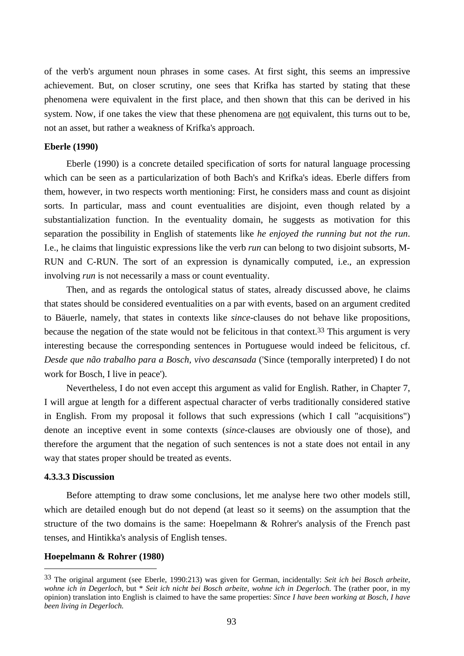of the verb's argument noun phrases in some cases. At first sight, this seems an impressive achievement. But, on closer scrutiny, one sees that Krifka has started by stating that these phenomena were equivalent in the first place, and then shown that this can be derived in his system. Now, if one takes the view that these phenomena are not equivalent, this turns out to be, not an asset, but rather a weakness of Krifka's approach.

#### **Eberle (1990)**

Eberle (1990) is a concrete detailed specification of sorts for natural language processing which can be seen as a particularization of both Bach's and Krifka's ideas. Eberle differs from them, however, in two respects worth mentioning: First, he considers mass and count as disjoint sorts. In particular, mass and count eventualities are disjoint, even though related by a substantialization function. In the eventuality domain, he suggests as motivation for this separation the possibility in English of statements like *he enjoyed the running but not the run*. I.e., he claims that linguistic expressions like the verb *run* can belong to two disjoint subsorts, M-RUN and C-RUN. The sort of an expression is dynamically computed, i.e., an expression involving *run* is not necessarily a mass or count eventuality.

Then, and as regards the ontological status of states, already discussed above, he claims that states should be considered eventualities on a par with events, based on an argument credited to Bäuerle, namely, that states in contexts like *since*-clauses do not behave like propositions, because the negation of the state would not be felicitous in that context.<sup>33</sup> This argument is very interesting because the corresponding sentences in Portuguese would indeed be felicitous, cf. *Desde que não trabalho para a Bosch, vivo descansada* ('Since (temporally interpreted) I do not work for Bosch, I live in peace').

Nevertheless, I do not even accept this argument as valid for English. Rather, in Chapter 7, I will argue at length for a different aspectual character of verbs traditionally considered stative in English. From my proposal it follows that such expressions (which I call "acquisitions") denote an inceptive event in some contexts (*since*-clauses are obviously one of those), and therefore the argument that the negation of such sentences is not a state does not entail in any way that states proper should be treated as events.

## **4.3.3.3 Discussion**

 $\overline{a}$ 

Before attempting to draw some conclusions, let me analyse here two other models still, which are detailed enough but do not depend (at least so it seems) on the assumption that the structure of the two domains is the same: Hoepelmann & Rohrer's analysis of the French past tenses, and Hintikka's analysis of English tenses.

## **Hoepelmann & Rohrer (1980)**

<sup>33</sup> The original argument (see Eberle, 1990:213) was given for German, incidentally: *Seit ich bei Bosch arbeite, wohne ich in Degerloch*, but \* *Seit ich nicht bei Bosch arbeite, wohne ich in Degerloch*. The (rather poor, in my opinion) translation into English is claimed to have the same properties: *Since I have been working at Bosch, I have been living in Degerloch.*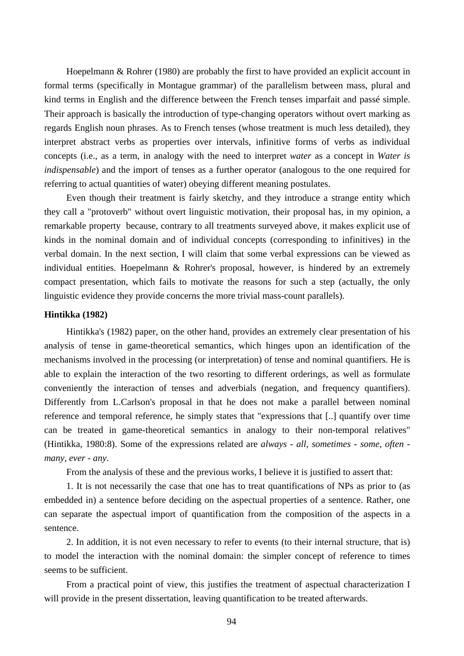Hoepelmann & Rohrer (1980) are probably the first to have provided an explicit account in formal terms (specifically in Montague grammar) of the parallelism between mass, plural and kind terms in English and the difference between the French tenses imparfait and passé simple. Their approach is basically the introduction of type-changing operators without overt marking as regards English noun phrases. As to French tenses (whose treatment is much less detailed), they interpret abstract verbs as properties over intervals, infinitive forms of verbs as individual concepts (i.e., as a term, in analogy with the need to interpret *water* as a concept in *Water is indispensable*) and the import of tenses as a further operator (analogous to the one required for referring to actual quantities of water) obeying different meaning postulates.

Even though their treatment is fairly sketchy, and they introduce a strange entity which they call a "protoverb" without overt linguistic motivation, their proposal has, in my opinion, a remarkable property because, contrary to all treatments surveyed above, it makes explicit use of kinds in the nominal domain and of individual concepts (corresponding to infinitives) in the verbal domain. In the next section, I will claim that some verbal expressions can be viewed as individual entities. Hoepelmann & Rohrer's proposal, however, is hindered by an extremely compact presentation, which fails to motivate the reasons for such a step (actually, the only linguistic evidence they provide concerns the more trivial mass-count parallels).

#### **Hintikka (1982)**

Hintikka's (1982) paper, on the other hand, provides an extremely clear presentation of his analysis of tense in game-theoretical semantics, which hinges upon an identification of the mechanisms involved in the processing (or interpretation) of tense and nominal quantifiers. He is able to explain the interaction of the two resorting to different orderings, as well as formulate conveniently the interaction of tenses and adverbials (negation, and frequency quantifiers). Differently from L.Carlson's proposal in that he does not make a parallel between nominal reference and temporal reference, he simply states that "expressions that [..] quantify over time can be treated in game-theoretical semantics in analogy to their non-temporal relatives" (Hintikka, 1980:8). Some of the expressions related are *always* - *all*, *sometimes* - *some*, *often many*, *ever* - *any*.

From the analysis of these and the previous works, I believe it is justified to assert that:

1. It is not necessarily the case that one has to treat quantifications of NPs as prior to (as embedded in) a sentence before deciding on the aspectual properties of a sentence. Rather, one can separate the aspectual import of quantification from the composition of the aspects in a sentence.

2. In addition, it is not even necessary to refer to events (to their internal structure, that is) to model the interaction with the nominal domain: the simpler concept of reference to times seems to be sufficient.

From a practical point of view, this justifies the treatment of aspectual characterization I will provide in the present dissertation, leaving quantification to be treated afterwards.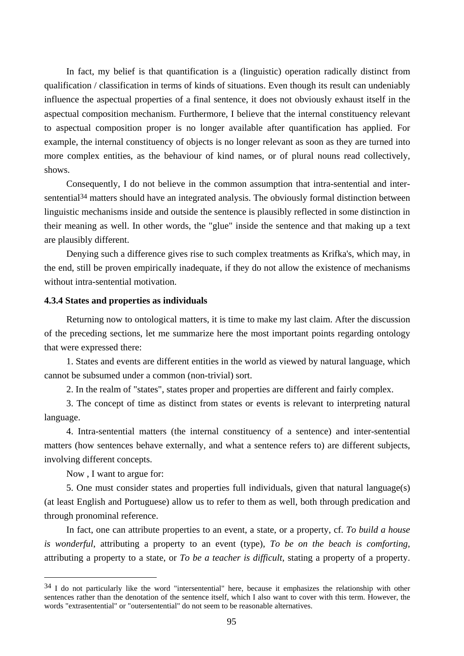In fact, my belief is that quantification is a (linguistic) operation radically distinct from qualification / classification in terms of kinds of situations. Even though its result can undeniably influence the aspectual properties of a final sentence, it does not obviously exhaust itself in the aspectual composition mechanism. Furthermore, I believe that the internal constituency relevant to aspectual composition proper is no longer available after quantification has applied. For example, the internal constituency of objects is no longer relevant as soon as they are turned into more complex entities, as the behaviour of kind names, or of plural nouns read collectively, shows.

Consequently, I do not believe in the common assumption that intra-sentential and intersentential<sup>34</sup> matters should have an integrated analysis. The obviously formal distinction between linguistic mechanisms inside and outside the sentence is plausibly reflected in some distinction in their meaning as well. In other words, the "glue" inside the sentence and that making up a text are plausibly different.

Denying such a difference gives rise to such complex treatments as Krifka's, which may, in the end, still be proven empirically inadequate, if they do not allow the existence of mechanisms without intra-sentential motivation.

## **4.3.4 States and properties as individuals**

Returning now to ontological matters, it is time to make my last claim. After the discussion of the preceding sections, let me summarize here the most important points regarding ontology that were expressed there:

1. States and events are different entities in the world as viewed by natural language, which cannot be subsumed under a common (non-trivial) sort.

2. In the realm of "states", states proper and properties are different and fairly complex.

3. The concept of time as distinct from states or events is relevant to interpreting natural language.

4. Intra-sentential matters (the internal constituency of a sentence) and inter-sentential matters (how sentences behave externally, and what a sentence refers to) are different subjects, involving different concepts.

Now , I want to argue for:

 $\overline{a}$ 

5. One must consider states and properties full individuals, given that natural language(s) (at least English and Portuguese) allow us to refer to them as well, both through predication and through pronominal reference.

In fact, one can attribute properties to an event, a state, or a property, cf. *To build a house is wonderful*, attributing a property to an event (type), *To be on the beach is comforting*, attributing a property to a state, or *To be a teacher is difficult*, stating a property of a property.

<sup>&</sup>lt;sup>34</sup> I do not particularly like the word "intersentential" here, because it emphasizes the relationship with other sentences rather than the denotation of the sentence itself, which I also want to cover with this term. However, the words "extrasentential" or "outersentential" do not seem to be reasonable alternatives.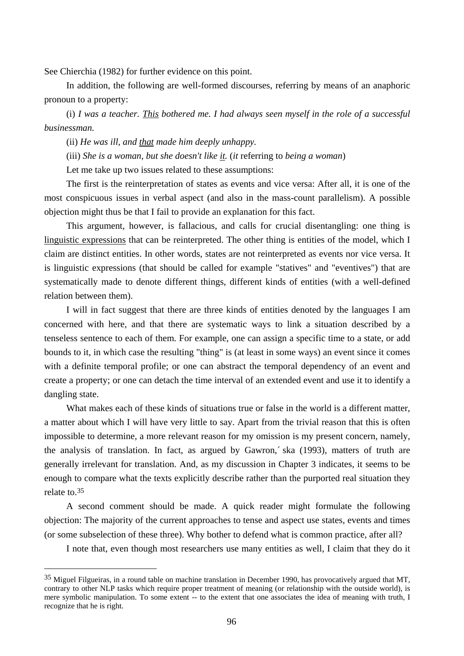See Chierchia (1982) for further evidence on this point.

In addition, the following are well-formed discourses, referring by means of an anaphoric pronoun to a property:

(i) *I was a teacher. This bothered me. I had always seen myself in the role of a successful businessman.*

(ii) *He was ill, and that made him deeply unhappy.*

(iii) *She is a woman, but she doesn't like it.* (*it* referring to *being a woman*)

Let me take up two issues related to these assumptions:

The first is the reinterpretation of states as events and vice versa: After all, it is one of the most conspicuous issues in verbal aspect (and also in the mass-count parallelism). A possible objection might thus be that I fail to provide an explanation for this fact.

This argument, however, is fallacious, and calls for crucial disentangling: one thing is linguistic expressions that can be reinterpreted. The other thing is entities of the model, which I claim are distinct entities. In other words, states are not reinterpreted as events nor vice versa. It is linguistic expressions (that should be called for example "statives" and "eventives") that are systematically made to denote different things, different kinds of entities (with a well-defined relation between them).

I will in fact suggest that there are three kinds of entities denoted by the languages I am concerned with here, and that there are systematic ways to link a situation described by a tenseless sentence to each of them. For example, one can assign a specific time to a state, or add bounds to it, in which case the resulting "thing" is (at least in some ways) an event since it comes with a definite temporal profile; or one can abstract the temporal dependency of an event and create a property; or one can detach the time interval of an extended event and use it to identify a dangling state.

What makes each of these kinds of situations true or false in the world is a different matter, a matter about which I will have very little to say. Apart from the trivial reason that this is often impossible to determine, a more relevant reason for my omission is my present concern, namely, the analysis of translation. In fact, as argued by Gawron,´ ska (1993), matters of truth are generally irrelevant for translation. And, as my discussion in Chapter 3 indicates, it seems to be enough to compare what the texts explicitly describe rather than the purported real situation they relate to.35

A second comment should be made. A quick reader might formulate the following objection: The majority of the current approaches to tense and aspect use states, events and times (or some subselection of these three). Why bother to defend what is common practice, after all?

I note that, even though most researchers use many entities as well, I claim that they do it

<sup>35</sup> Miguel Filgueiras, in a round table on machine translation in December 1990, has provocatively argued that MT, contrary to other NLP tasks which require proper treatment of meaning (or relationship with the outside world), is mere symbolic manipulation. To some extent -- to the extent that one associates the idea of meaning with truth, I recognize that he is right.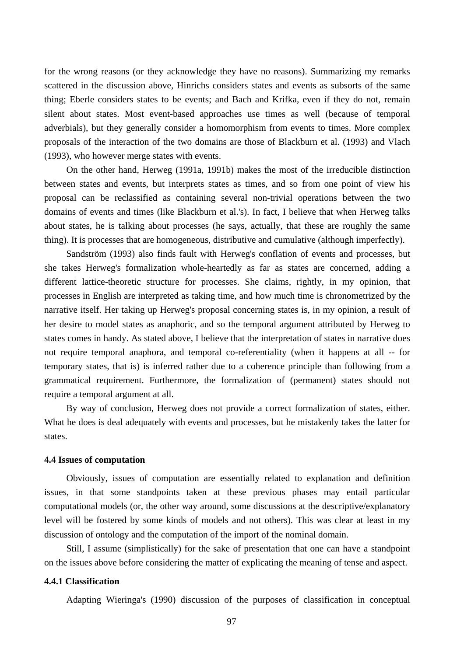for the wrong reasons (or they acknowledge they have no reasons). Summarizing my remarks scattered in the discussion above, Hinrichs considers states and events as subsorts of the same thing; Eberle considers states to be events; and Bach and Krifka, even if they do not, remain silent about states. Most event-based approaches use times as well (because of temporal adverbials), but they generally consider a homomorphism from events to times. More complex proposals of the interaction of the two domains are those of Blackburn et al. (1993) and Vlach (1993), who however merge states with events.

On the other hand, Herweg (1991a, 1991b) makes the most of the irreducible distinction between states and events, but interprets states as times, and so from one point of view his proposal can be reclassified as containing several non-trivial operations between the two domains of events and times (like Blackburn et al.'s). In fact, I believe that when Herweg talks about states, he is talking about processes (he says, actually, that these are roughly the same thing). It is processes that are homogeneous, distributive and cumulative (although imperfectly).

Sandström (1993) also finds fault with Herweg's conflation of events and processes, but she takes Herweg's formalization whole-heartedly as far as states are concerned, adding a different lattice-theoretic structure for processes. She claims, rightly, in my opinion, that processes in English are interpreted as taking time, and how much time is chronometrized by the narrative itself. Her taking up Herweg's proposal concerning states is, in my opinion, a result of her desire to model states as anaphoric, and so the temporal argument attributed by Herweg to states comes in handy. As stated above, I believe that the interpretation of states in narrative does not require temporal anaphora, and temporal co-referentiality (when it happens at all -- for temporary states, that is) is inferred rather due to a coherence principle than following from a grammatical requirement. Furthermore, the formalization of (permanent) states should not require a temporal argument at all.

By way of conclusion, Herweg does not provide a correct formalization of states, either. What he does is deal adequately with events and processes, but he mistakenly takes the latter for states.

### **4.4 Issues of computation**

Obviously, issues of computation are essentially related to explanation and definition issues, in that some standpoints taken at these previous phases may entail particular computational models (or, the other way around, some discussions at the descriptive/explanatory level will be fostered by some kinds of models and not others). This was clear at least in my discussion of ontology and the computation of the import of the nominal domain.

Still, I assume (simplistically) for the sake of presentation that one can have a standpoint on the issues above before considering the matter of explicating the meaning of tense and aspect.

# **4.4.1 Classification**

Adapting Wieringa's (1990) discussion of the purposes of classification in conceptual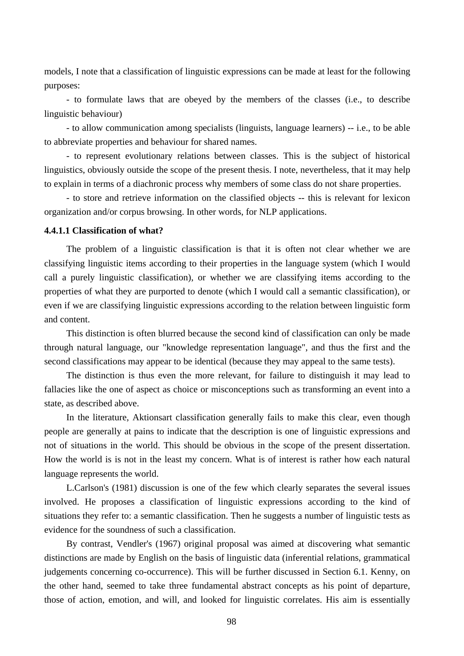models, I note that a classification of linguistic expressions can be made at least for the following purposes:

- to formulate laws that are obeyed by the members of the classes (i.e., to describe linguistic behaviour)

- to allow communication among specialists (linguists, language learners) -- i.e., to be able to abbreviate properties and behaviour for shared names.

- to represent evolutionary relations between classes. This is the subject of historical linguistics, obviously outside the scope of the present thesis. I note, nevertheless, that it may help to explain in terms of a diachronic process why members of some class do not share properties.

- to store and retrieve information on the classified objects -- this is relevant for lexicon organization and/or corpus browsing. In other words, for NLP applications.

# **4.4.1.1 Classification of what?**

The problem of a linguistic classification is that it is often not clear whether we are classifying linguistic items according to their properties in the language system (which I would call a purely linguistic classification), or whether we are classifying items according to the properties of what they are purported to denote (which I would call a semantic classification), or even if we are classifying linguistic expressions according to the relation between linguistic form and content.

This distinction is often blurred because the second kind of classification can only be made through natural language, our "knowledge representation language", and thus the first and the second classifications may appear to be identical (because they may appeal to the same tests).

The distinction is thus even the more relevant, for failure to distinguish it may lead to fallacies like the one of aspect as choice or misconceptions such as transforming an event into a state, as described above.

In the literature, Aktionsart classification generally fails to make this clear, even though people are generally at pains to indicate that the description is one of linguistic expressions and not of situations in the world. This should be obvious in the scope of the present dissertation. How the world is is not in the least my concern. What is of interest is rather how each natural language represents the world.

L.Carlson's (1981) discussion is one of the few which clearly separates the several issues involved. He proposes a classification of linguistic expressions according to the kind of situations they refer to: a semantic classification. Then he suggests a number of linguistic tests as evidence for the soundness of such a classification.

By contrast, Vendler's (1967) original proposal was aimed at discovering what semantic distinctions are made by English on the basis of linguistic data (inferential relations, grammatical judgements concerning co-occurrence). This will be further discussed in Section 6.1. Kenny, on the other hand, seemed to take three fundamental abstract concepts as his point of departure, those of action, emotion, and will, and looked for linguistic correlates. His aim is essentially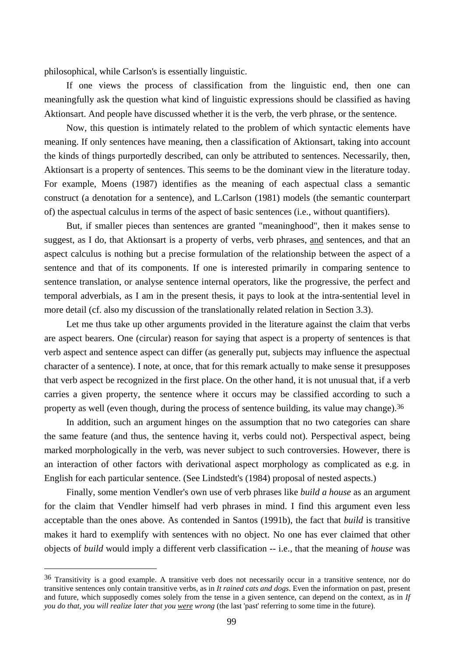philosophical, while Carlson's is essentially linguistic.

If one views the process of classification from the linguistic end, then one can meaningfully ask the question what kind of linguistic expressions should be classified as having Aktionsart. And people have discussed whether it is the verb, the verb phrase, or the sentence.

Now, this question is intimately related to the problem of which syntactic elements have meaning. If only sentences have meaning, then a classification of Aktionsart, taking into account the kinds of things purportedly described, can only be attributed to sentences. Necessarily, then, Aktionsart is a property of sentences. This seems to be the dominant view in the literature today. For example, Moens (1987) identifies as the meaning of each aspectual class a semantic construct (a denotation for a sentence), and L.Carlson (1981) models (the semantic counterpart of) the aspectual calculus in terms of the aspect of basic sentences (i.e., without quantifiers).

But, if smaller pieces than sentences are granted "meaninghood", then it makes sense to suggest, as I do, that Aktionsart is a property of verbs, verb phrases, and sentences, and that an aspect calculus is nothing but a precise formulation of the relationship between the aspect of a sentence and that of its components. If one is interested primarily in comparing sentence to sentence translation, or analyse sentence internal operators, like the progressive, the perfect and temporal adverbials, as I am in the present thesis, it pays to look at the intra-sentential level in more detail (cf. also my discussion of the translationally related relation in Section 3.3).

Let me thus take up other arguments provided in the literature against the claim that verbs are aspect bearers. One (circular) reason for saying that aspect is a property of sentences is that verb aspect and sentence aspect can differ (as generally put, subjects may influence the aspectual character of a sentence). I note, at once, that for this remark actually to make sense it presupposes that verb aspect be recognized in the first place. On the other hand, it is not unusual that, if a verb carries a given property, the sentence where it occurs may be classified according to such a property as well (even though, during the process of sentence building, its value may change).36

In addition, such an argument hinges on the assumption that no two categories can share the same feature (and thus, the sentence having it, verbs could not). Perspectival aspect, being marked morphologically in the verb, was never subject to such controversies. However, there is an interaction of other factors with derivational aspect morphology as complicated as e.g. in English for each particular sentence. (See Lindstedt's (1984) proposal of nested aspects.)

Finally, some mention Vendler's own use of verb phrases like *build a house* as an argument for the claim that Vendler himself had verb phrases in mind. I find this argument even less acceptable than the ones above. As contended in Santos (1991b), the fact that *build* is transitive makes it hard to exemplify with sentences with no object. No one has ever claimed that other objects of *build* would imply a different verb classification -- i.e., that the meaning of *house* was

<sup>36</sup> Transitivity is a good example. A transitive verb does not necessarily occur in a transitive sentence, nor do transitive sentences only contain transitive verbs, as in *It rained cats and dogs*. Even the information on past, present and future, which supposedly comes solely from the tense in a given sentence, can depend on the context, as in *If you do that, you will realize later that you were wrong* (the last 'past' referring to some time in the future).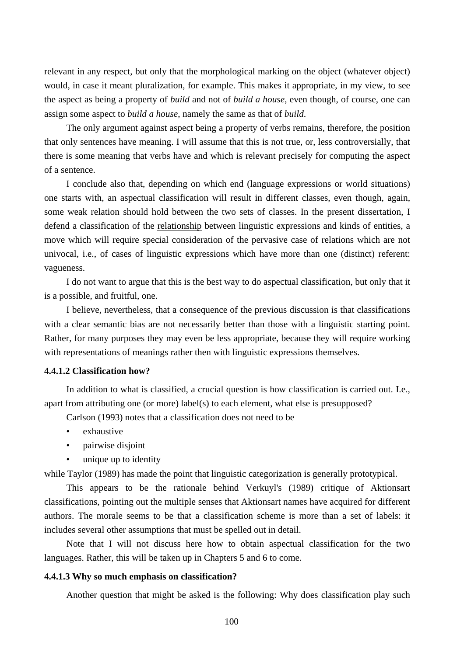relevant in any respect, but only that the morphological marking on the object (whatever object) would, in case it meant pluralization, for example. This makes it appropriate, in my view, to see the aspect as being a property of *build* and not of *build a house*, even though, of course, one can assign some aspect to *build a house*, namely the same as that of *build*.

The only argument against aspect being a property of verbs remains, therefore, the position that only sentences have meaning. I will assume that this is not true, or, less controversially, that there is some meaning that verbs have and which is relevant precisely for computing the aspect of a sentence.

I conclude also that, depending on which end (language expressions or world situations) one starts with, an aspectual classification will result in different classes, even though, again, some weak relation should hold between the two sets of classes. In the present dissertation, I defend a classification of the relationship between linguistic expressions and kinds of entities, a move which will require special consideration of the pervasive case of relations which are not univocal, i.e., of cases of linguistic expressions which have more than one (distinct) referent: vagueness.

I do not want to argue that this is the best way to do aspectual classification, but only that it is a possible, and fruitful, one.

I believe, nevertheless, that a consequence of the previous discussion is that classifications with a clear semantic bias are not necessarily better than those with a linguistic starting point. Rather, for many purposes they may even be less appropriate, because they will require working with representations of meanings rather then with linguistic expressions themselves.

# **4.4.1.2 Classification how?**

In addition to what is classified, a crucial question is how classification is carried out. I.e., apart from attributing one (or more) label(s) to each element, what else is presupposed?

Carlson (1993) notes that a classification does not need to be

- exhaustive
- pairwise disjoint
- unique up to identity

while Taylor (1989) has made the point that linguistic categorization is generally prototypical.

This appears to be the rationale behind Verkuyl's (1989) critique of Aktionsart classifications, pointing out the multiple senses that Aktionsart names have acquired for different authors. The morale seems to be that a classification scheme is more than a set of labels: it includes several other assumptions that must be spelled out in detail.

Note that I will not discuss here how to obtain aspectual classification for the two languages. Rather, this will be taken up in Chapters 5 and 6 to come.

# **4.4.1.3 Why so much emphasis on classification?**

Another question that might be asked is the following: Why does classification play such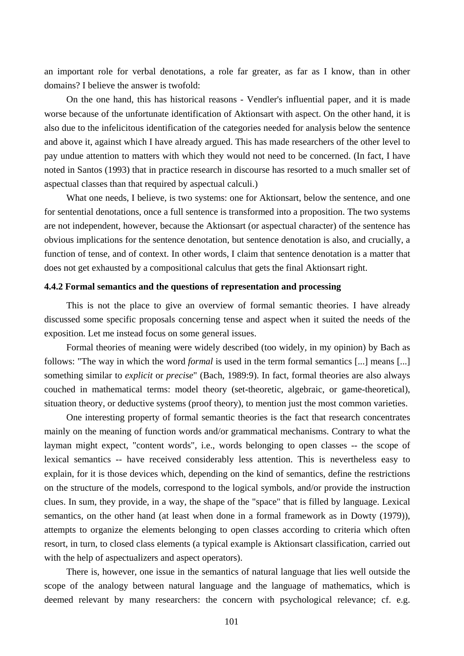an important role for verbal denotations, a role far greater, as far as I know, than in other domains? I believe the answer is twofold:

On the one hand, this has historical reasons - Vendler's influential paper, and it is made worse because of the unfortunate identification of Aktionsart with aspect. On the other hand, it is also due to the infelicitous identification of the categories needed for analysis below the sentence and above it, against which I have already argued. This has made researchers of the other level to pay undue attention to matters with which they would not need to be concerned. (In fact, I have noted in Santos (1993) that in practice research in discourse has resorted to a much smaller set of aspectual classes than that required by aspectual calculi.)

What one needs, I believe, is two systems: one for Aktionsart, below the sentence, and one for sentential denotations, once a full sentence is transformed into a proposition. The two systems are not independent, however, because the Aktionsart (or aspectual character) of the sentence has obvious implications for the sentence denotation, but sentence denotation is also, and crucially, a function of tense, and of context. In other words, I claim that sentence denotation is a matter that does not get exhausted by a compositional calculus that gets the final Aktionsart right.

#### **4.4.2 Formal semantics and the questions of representation and processing**

This is not the place to give an overview of formal semantic theories. I have already discussed some specific proposals concerning tense and aspect when it suited the needs of the exposition. Let me instead focus on some general issues.

Formal theories of meaning were widely described (too widely, in my opinion) by Bach as follows: "The way in which the word *formal* is used in the term formal semantics [...] means [...] something similar to *explicit* or *precise*" (Bach, 1989:9). In fact, formal theories are also always couched in mathematical terms: model theory (set-theoretic, algebraic, or game-theoretical), situation theory, or deductive systems (proof theory), to mention just the most common varieties.

One interesting property of formal semantic theories is the fact that research concentrates mainly on the meaning of function words and/or grammatical mechanisms. Contrary to what the layman might expect, "content words", i.e., words belonging to open classes -- the scope of lexical semantics -- have received considerably less attention. This is nevertheless easy to explain, for it is those devices which, depending on the kind of semantics, define the restrictions on the structure of the models, correspond to the logical symbols, and/or provide the instruction clues. In sum, they provide, in a way, the shape of the "space" that is filled by language. Lexical semantics, on the other hand (at least when done in a formal framework as in Dowty (1979)), attempts to organize the elements belonging to open classes according to criteria which often resort, in turn, to closed class elements (a typical example is Aktionsart classification, carried out with the help of aspectualizers and aspect operators).

There is, however, one issue in the semantics of natural language that lies well outside the scope of the analogy between natural language and the language of mathematics, which is deemed relevant by many researchers: the concern with psychological relevance; cf. e.g.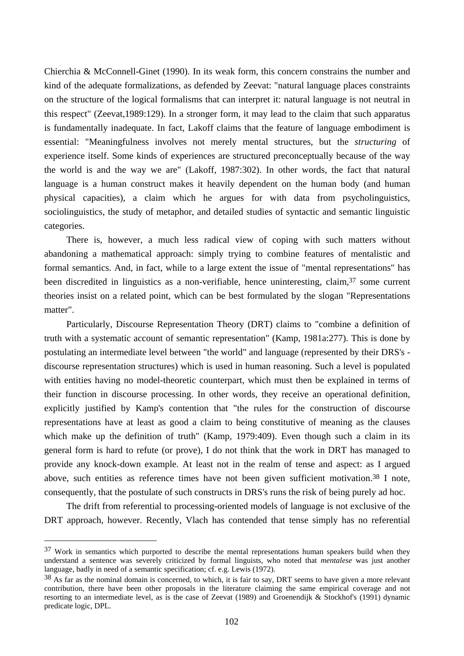Chierchia & McConnell-Ginet (1990). In its weak form, this concern constrains the number and kind of the adequate formalizations, as defended by Zeevat: "natural language places constraints on the structure of the logical formalisms that can interpret it: natural language is not neutral in this respect" (Zeevat,1989:129). In a stronger form, it may lead to the claim that such apparatus is fundamentally inadequate. In fact, Lakoff claims that the feature of language embodiment is essential: "Meaningfulness involves not merely mental structures, but the *structuring* of experience itself. Some kinds of experiences are structured preconceptually because of the way the world is and the way we are" (Lakoff, 1987:302). In other words, the fact that natural language is a human construct makes it heavily dependent on the human body (and human physical capacities), a claim which he argues for with data from psycholinguistics, sociolinguistics, the study of metaphor, and detailed studies of syntactic and semantic linguistic categories.

There is, however, a much less radical view of coping with such matters without abandoning a mathematical approach: simply trying to combine features of mentalistic and formal semantics. And, in fact, while to a large extent the issue of "mental representations" has been discredited in linguistics as a non-verifiable, hence uninteresting, claim,<sup>37</sup> some current theories insist on a related point, which can be best formulated by the slogan "Representations matter".

Particularly, Discourse Representation Theory (DRT) claims to "combine a definition of truth with a systematic account of semantic representation" (Kamp, 1981a:277). This is done by postulating an intermediate level between "the world" and language (represented by their DRS's discourse representation structures) which is used in human reasoning. Such a level is populated with entities having no model-theoretic counterpart, which must then be explained in terms of their function in discourse processing. In other words, they receive an operational definition, explicitly justified by Kamp's contention that "the rules for the construction of discourse representations have at least as good a claim to being constitutive of meaning as the clauses which make up the definition of truth" (Kamp, 1979:409). Even though such a claim in its general form is hard to refute (or prove), I do not think that the work in DRT has managed to provide any knock-down example. At least not in the realm of tense and aspect: as I argued above, such entities as reference times have not been given sufficient motivation.<sup>38</sup> I note, consequently, that the postulate of such constructs in DRS's runs the risk of being purely ad hoc.

The drift from referential to processing-oriented models of language is not exclusive of the DRT approach, however. Recently, Vlach has contended that tense simply has no referential

<sup>&</sup>lt;sup>37</sup> Work in semantics which purported to describe the mental representations human speakers build when they understand a sentence was severely criticized by formal linguists, who noted that *mentalese* was just another language, badly in need of a semantic specification; cf. e.g. Lewis (1972).

<sup>&</sup>lt;sup>38</sup> As far as the nominal domain is concerned, to which, it is fair to say, DRT seems to have given a more relevant contribution, there have been other proposals in the literature claiming the same empirical coverage and not resorting to an intermediate level, as is the case of Zeevat (1989) and Groenendijk & Stockhof's (1991) dynamic predicate logic, DPL.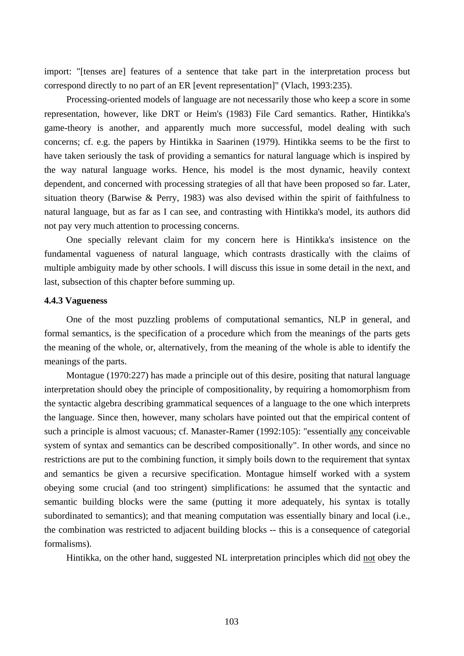import: "[tenses are] features of a sentence that take part in the interpretation process but correspond directly to no part of an ER [event representation]" (Vlach, 1993:235).

Processing-oriented models of language are not necessarily those who keep a score in some representation, however, like DRT or Heim's (1983) File Card semantics. Rather, Hintikka's game-theory is another, and apparently much more successful, model dealing with such concerns; cf. e.g. the papers by Hintikka in Saarinen (1979). Hintikka seems to be the first to have taken seriously the task of providing a semantics for natural language which is inspired by the way natural language works. Hence, his model is the most dynamic, heavily context dependent, and concerned with processing strategies of all that have been proposed so far. Later, situation theory (Barwise & Perry, 1983) was also devised within the spirit of faithfulness to natural language, but as far as I can see, and contrasting with Hintikka's model, its authors did not pay very much attention to processing concerns.

One specially relevant claim for my concern here is Hintikka's insistence on the fundamental vagueness of natural language, which contrasts drastically with the claims of multiple ambiguity made by other schools. I will discuss this issue in some detail in the next, and last, subsection of this chapter before summing up.

# **4.4.3 Vagueness**

One of the most puzzling problems of computational semantics, NLP in general, and formal semantics, is the specification of a procedure which from the meanings of the parts gets the meaning of the whole, or, alternatively, from the meaning of the whole is able to identify the meanings of the parts.

Montague (1970:227) has made a principle out of this desire, positing that natural language interpretation should obey the principle of compositionality, by requiring a homomorphism from the syntactic algebra describing grammatical sequences of a language to the one which interprets the language. Since then, however, many scholars have pointed out that the empirical content of such a principle is almost vacuous; cf. Manaster-Ramer (1992:105): "essentially any conceivable system of syntax and semantics can be described compositionally". In other words, and since no restrictions are put to the combining function, it simply boils down to the requirement that syntax and semantics be given a recursive specification. Montague himself worked with a system obeying some crucial (and too stringent) simplifications: he assumed that the syntactic and semantic building blocks were the same (putting it more adequately, his syntax is totally subordinated to semantics); and that meaning computation was essentially binary and local (i.e., the combination was restricted to adjacent building blocks -- this is a consequence of categorial formalisms).

Hintikka, on the other hand, suggested NL interpretation principles which did not obey the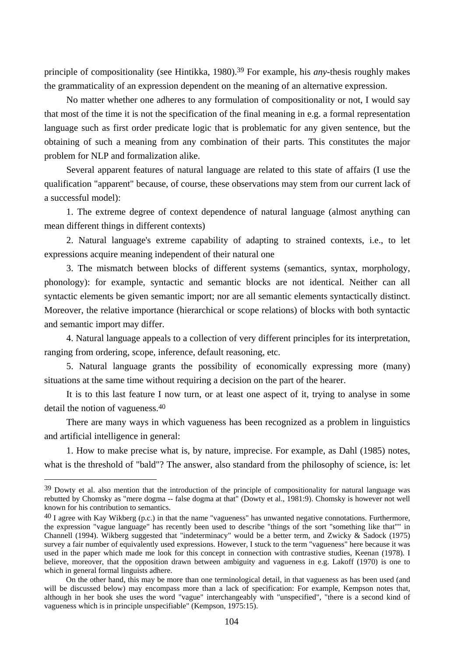principle of compositionality (see Hintikka, 1980).39 For example, his *any*-thesis roughly makes the grammaticality of an expression dependent on the meaning of an alternative expression.

No matter whether one adheres to any formulation of compositionality or not, I would say that most of the time it is not the specification of the final meaning in e.g. a formal representation language such as first order predicate logic that is problematic for any given sentence, but the obtaining of such a meaning from any combination of their parts. This constitutes the major problem for NLP and formalization alike.

Several apparent features of natural language are related to this state of affairs (I use the qualification "apparent" because, of course, these observations may stem from our current lack of a successful model):

1. The extreme degree of context dependence of natural language (almost anything can mean different things in different contexts)

2. Natural language's extreme capability of adapting to strained contexts, i.e., to let expressions acquire meaning independent of their natural one

3. The mismatch between blocks of different systems (semantics, syntax, morphology, phonology): for example, syntactic and semantic blocks are not identical. Neither can all syntactic elements be given semantic import; nor are all semantic elements syntactically distinct. Moreover, the relative importance (hierarchical or scope relations) of blocks with both syntactic and semantic import may differ.

4. Natural language appeals to a collection of very different principles for its interpretation, ranging from ordering, scope, inference, default reasoning, etc.

5. Natural language grants the possibility of economically expressing more (many) situations at the same time without requiring a decision on the part of the hearer.

It is to this last feature I now turn, or at least one aspect of it, trying to analyse in some detail the notion of vagueness.40

There are many ways in which vagueness has been recognized as a problem in linguistics and artificial intelligence in general:

1. How to make precise what is, by nature, imprecise. For example, as Dahl (1985) notes, what is the threshold of "bald"? The answer, also standard from the philosophy of science, is: let

<sup>&</sup>lt;sup>39</sup> Dowty et al. also mention that the introduction of the principle of compositionality for natural language was rebutted by Chomsky as "mere dogma -- false dogma at that" (Dowty et al., 1981:9). Chomsky is however not well known for his contribution to semantics.

 $^{40}$  I agree with Kay Wikberg (p.c.) in that the name "vagueness" has unwanted negative connotations. Furthermore, the expression "vague language" has recently been used to describe "things of the sort "something like that"" in Channell (1994). Wikberg suggested that "indeterminacy" would be a better term, and Zwicky & Sadock (1975) survey a fair number of equivalently used expressions. However, I stuck to the term "vagueness" here because it was used in the paper which made me look for this concept in connection with contrastive studies, Keenan (1978). I believe, moreover, that the opposition drawn between ambiguity and vagueness in e.g. Lakoff (1970) is one to which in general formal linguists adhere.

On the other hand, this may be more than one terminological detail, in that vagueness as has been used (and will be discussed below) may encompass more than a lack of specification: For example, Kempson notes that, although in her book she uses the word "vague" interchangeably with "unspecified", "there is a second kind of vagueness which is in principle unspecifiable" (Kempson, 1975:15).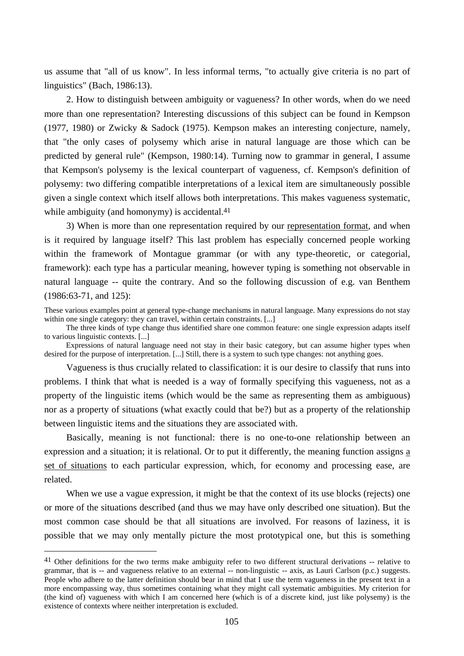us assume that "all of us know". In less informal terms, "to actually give criteria is no part of linguistics" (Bach, 1986:13).

2. How to distinguish between ambiguity or vagueness? In other words, when do we need more than one representation? Interesting discussions of this subject can be found in Kempson (1977, 1980) or Zwicky & Sadock (1975). Kempson makes an interesting conjecture, namely, that "the only cases of polysemy which arise in natural language are those which can be predicted by general rule" (Kempson, 1980:14). Turning now to grammar in general, I assume that Kempson's polysemy is the lexical counterpart of vagueness, cf. Kempson's definition of polysemy: two differing compatible interpretations of a lexical item are simultaneously possible given a single context which itself allows both interpretations. This makes vagueness systematic, while ambiguity (and homonymy) is accidental.<sup>41</sup>

3) When is more than one representation required by our representation format, and when is it required by language itself? This last problem has especially concerned people working within the framework of Montague grammar (or with any type-theoretic, or categorial, framework): each type has a particular meaning, however typing is something not observable in natural language -- quite the contrary. And so the following discussion of e.g. van Benthem (1986:63-71, and 125):

These various examples point at general type-change mechanisms in natural language. Many expressions do not stay within one single category: they can travel, within certain constraints. [...]

The three kinds of type change thus identified share one common feature: one single expression adapts itself to various linguistic contexts. [...]

Expressions of natural language need not stay in their basic category, but can assume higher types when desired for the purpose of interpretation. [...] Still, there is a system to such type changes: not anything goes.

Vagueness is thus crucially related to classification: it is our desire to classify that runs into problems. I think that what is needed is a way of formally specifying this vagueness, not as a property of the linguistic items (which would be the same as representing them as ambiguous) nor as a property of situations (what exactly could that be?) but as a property of the relationship between linguistic items and the situations they are associated with.

Basically, meaning is not functional: there is no one-to-one relationship between an expression and a situation; it is relational. Or to put it differently, the meaning function assigns a set of situations to each particular expression, which, for economy and processing ease, are related.

When we use a vague expression, it might be that the context of its use blocks (rejects) one or more of the situations described (and thus we may have only described one situation). But the most common case should be that all situations are involved. For reasons of laziness, it is possible that we may only mentally picture the most prototypical one, but this is something

<sup>&</sup>lt;sup>41</sup> Other definitions for the two terms make ambiguity refer to two different structural derivations -- relative to grammar, that is -- and vagueness relative to an external -- non-linguistic -- axis, as Lauri Carlson (p.c.) suggests. People who adhere to the latter definition should bear in mind that I use the term vagueness in the present text in a more encompassing way, thus sometimes containing what they might call systematic ambiguities. My criterion for (the kind of) vagueness with which I am concerned here (which is of a discrete kind, just like polysemy) is the existence of contexts where neither interpretation is excluded.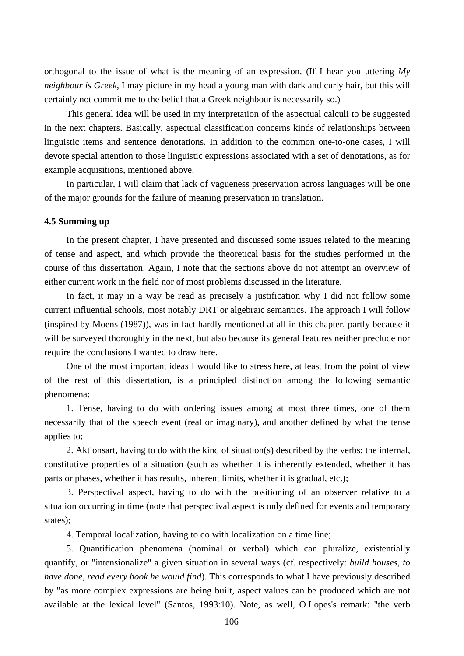orthogonal to the issue of what is the meaning of an expression. (If I hear you uttering *My neighbour is Greek*, I may picture in my head a young man with dark and curly hair, but this will certainly not commit me to the belief that a Greek neighbour is necessarily so.)

This general idea will be used in my interpretation of the aspectual calculi to be suggested in the next chapters. Basically, aspectual classification concerns kinds of relationships between linguistic items and sentence denotations. In addition to the common one-to-one cases, I will devote special attention to those linguistic expressions associated with a set of denotations, as for example acquisitions, mentioned above.

In particular, I will claim that lack of vagueness preservation across languages will be one of the major grounds for the failure of meaning preservation in translation.

# **4.5 Summing up**

In the present chapter, I have presented and discussed some issues related to the meaning of tense and aspect, and which provide the theoretical basis for the studies performed in the course of this dissertation. Again, I note that the sections above do not attempt an overview of either current work in the field nor of most problems discussed in the literature.

In fact, it may in a way be read as precisely a justification why I did not follow some current influential schools, most notably DRT or algebraic semantics. The approach I will follow (inspired by Moens (1987)), was in fact hardly mentioned at all in this chapter, partly because it will be surveyed thoroughly in the next, but also because its general features neither preclude nor require the conclusions I wanted to draw here.

One of the most important ideas I would like to stress here, at least from the point of view of the rest of this dissertation, is a principled distinction among the following semantic phenomena:

1. Tense, having to do with ordering issues among at most three times, one of them necessarily that of the speech event (real or imaginary), and another defined by what the tense applies to;

2. Aktionsart, having to do with the kind of situation(s) described by the verbs: the internal, constitutive properties of a situation (such as whether it is inherently extended, whether it has parts or phases, whether it has results, inherent limits, whether it is gradual, etc.);

3. Perspectival aspect, having to do with the positioning of an observer relative to a situation occurring in time (note that perspectival aspect is only defined for events and temporary states);

4. Temporal localization, having to do with localization on a time line;

5. Quantification phenomena (nominal or verbal) which can pluralize, existentially quantify, or "intensionalize" a given situation in several ways (cf. respectively: *build houses*, *to have done*, *read every book he would find*). This corresponds to what I have previously described by "as more complex expressions are being built, aspect values can be produced which are not available at the lexical level" (Santos, 1993:10). Note, as well, O.Lopes's remark: "the verb